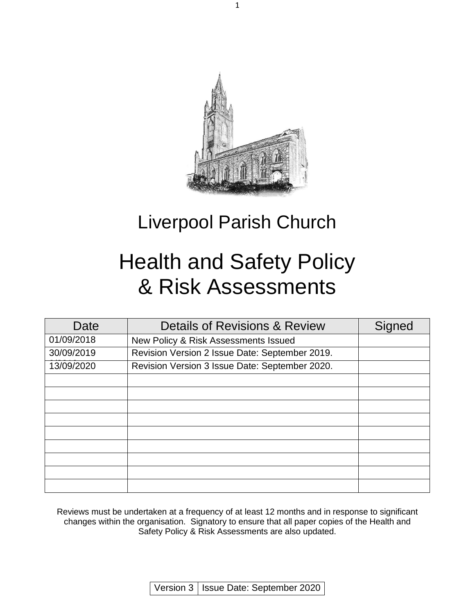

1

# Liverpool Parish Church

# Health and Safety Policy & Risk Assessments

| Date       | <b>Details of Revisions &amp; Review</b>       | Signed |
|------------|------------------------------------------------|--------|
| 01/09/2018 | New Policy & Risk Assessments Issued           |        |
| 30/09/2019 | Revision Version 2 Issue Date: September 2019. |        |
| 13/09/2020 | Revision Version 3 Issue Date: September 2020. |        |
|            |                                                |        |
|            |                                                |        |
|            |                                                |        |
|            |                                                |        |
|            |                                                |        |
|            |                                                |        |
|            |                                                |        |
|            |                                                |        |
|            |                                                |        |

Reviews must be undertaken at a frequency of at least 12 months and in response to significant changes within the organisation. Signatory to ensure that all paper copies of the Health and Safety Policy & Risk Assessments are also updated.

Version 3 | Issue Date: September 2020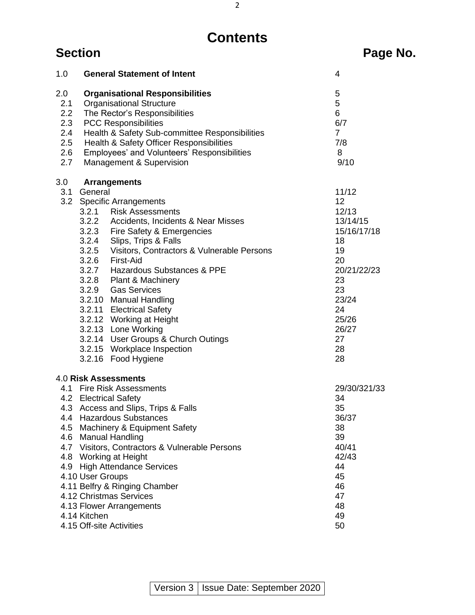# **Contents**

| 1.0                                                               | <b>General Statement of Intent</b>                                                                                                                                                                                                                                                                                                                                                                                                                                                                                                                                   | 4                                                                                                                                               |
|-------------------------------------------------------------------|----------------------------------------------------------------------------------------------------------------------------------------------------------------------------------------------------------------------------------------------------------------------------------------------------------------------------------------------------------------------------------------------------------------------------------------------------------------------------------------------------------------------------------------------------------------------|-------------------------------------------------------------------------------------------------------------------------------------------------|
| 2.0<br>2.1<br>$2.2\phantom{0}$<br>2.3<br>2.4<br>2.5<br>2.6<br>2.7 | <b>Organisational Responsibilities</b><br><b>Organisational Structure</b><br>The Rector's Responsibilities<br><b>PCC Responsibilities</b><br>Health & Safety Sub-committee Responsibilities<br>Health & Safety Officer Responsibilities<br>Employees' and Volunteers' Responsibilities<br>Management & Supervision                                                                                                                                                                                                                                                   | 5<br>5<br>6<br>6/7<br>$\overline{7}$<br>7/8<br>8<br>9/10                                                                                        |
| 3.0<br>3.1                                                        | <b>Arrangements</b><br>General<br>3.2 Specific Arrangements<br>3.2.1 Risk Assessments<br>3.2.2 Accidents, Incidents & Near Misses<br>3.2.3 Fire Safety & Emergencies<br>3.2.4 Slips, Trips & Falls<br>3.2.5 Visitors, Contractors & Vulnerable Persons<br>3.2.6 First-Aid<br>3.2.7 Hazardous Substances & PPE<br>3.2.8 Plant & Machinery<br>3.2.9 Gas Services<br>3.2.10 Manual Handling<br>3.2.11 Electrical Safety<br>3.2.12 Working at Height<br>3.2.13 Lone Working<br>3.2.14 User Groups & Church Outings<br>3.2.15 Workplace Inspection<br>3.2.16 Food Hygiene | 11/12<br>12<br>12/13<br>13/14/15<br>15/16/17/18<br>18<br>19<br>20<br>20/21/22/23<br>23<br>23<br>23/24<br>24<br>25/26<br>26/27<br>27<br>28<br>28 |
|                                                                   | 4.0 Risk Assessments                                                                                                                                                                                                                                                                                                                                                                                                                                                                                                                                                 |                                                                                                                                                 |
|                                                                   | 4.1 Fire Risk Assessments<br>4.2 Electrical Safety<br>4.3 Access and Slips, Trips & Falls<br>4.4 Hazardous Substances<br>4.5 Machinery & Equipment Safety<br>4.6 Manual Handling<br>4.7 Visitors, Contractors & Vulnerable Persons<br>4.8 Working at Height<br>4.9 High Attendance Services<br>4.10 User Groups<br>4.11 Belfry & Ringing Chamber<br>4.12 Christmas Services<br>4.13 Flower Arrangements<br>4.14 Kitchen                                                                                                                                              | 29/30/321/33<br>34<br>35<br>36/37<br>38<br>39<br>40/41<br>42/43<br>44<br>45<br>46<br>47<br>48<br>49                                             |
|                                                                   | 4.15 Off-site Activities                                                                                                                                                                                                                                                                                                                                                                                                                                                                                                                                             | 50                                                                                                                                              |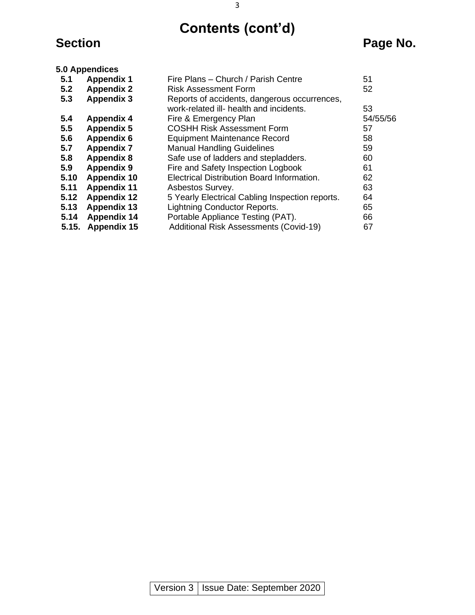**Contents (cont'd)**

# **Section Page No.**

|       | 5.0 Appendices     |                                                 |          |
|-------|--------------------|-------------------------------------------------|----------|
| 5.1   | <b>Appendix 1</b>  | Fire Plans - Church / Parish Centre             | 51       |
| 5.2   | <b>Appendix 2</b>  | Risk Assessment Form                            | 52       |
| 5.3   | <b>Appendix 3</b>  | Reports of accidents, dangerous occurrences,    |          |
|       |                    | work-related ill- health and incidents.         | 53       |
| 5.4   | <b>Appendix 4</b>  | Fire & Emergency Plan                           | 54/55/56 |
| 5.5   | <b>Appendix 5</b>  | <b>COSHH Risk Assessment Form</b>               | 57       |
| 5.6   | <b>Appendix 6</b>  | <b>Equipment Maintenance Record</b>             | 58       |
| 5.7   | <b>Appendix 7</b>  | <b>Manual Handling Guidelines</b>               | 59       |
| 5.8   | <b>Appendix 8</b>  | Safe use of ladders and stepladders.            | 60       |
| 5.9   | <b>Appendix 9</b>  | Fire and Safety Inspection Logbook              | 61       |
| 5.10  | <b>Appendix 10</b> | Electrical Distribution Board Information.      | 62       |
| 5.11  | <b>Appendix 11</b> | Asbestos Survey.                                | 63       |
| 5.12  | <b>Appendix 12</b> | 5 Yearly Electrical Cabling Inspection reports. | 64       |
| 5.13  | <b>Appendix 13</b> | <b>Lightning Conductor Reports.</b>             | 65       |
| 5.14  | <b>Appendix 14</b> | Portable Appliance Testing (PAT).               | 66       |
| 5.15. | <b>Appendix 15</b> | <b>Additional Risk Assessments (Covid-19)</b>   | 67       |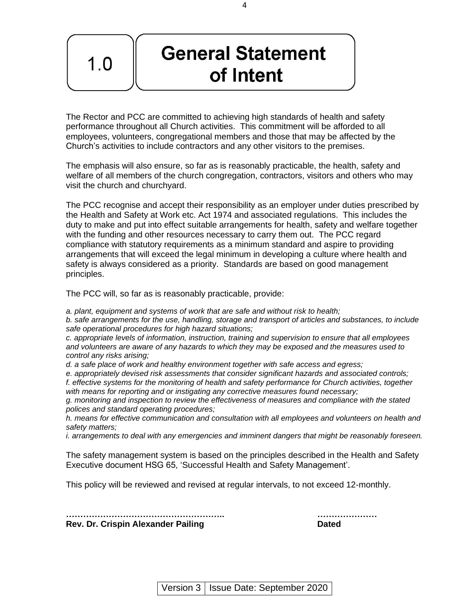# **General Statement** of Intent

The Rector and PCC are committed to achieving high standards of health and safety performance throughout all Church activities. This commitment will be afforded to all employees, volunteers, congregational members and those that may be affected by the Church's activities to include contractors and any other visitors to the premises.

The emphasis will also ensure, so far as is reasonably practicable, the health, safety and welfare of all members of the church congregation, contractors, visitors and others who may visit the church and churchyard.

The PCC recognise and accept their responsibility as an employer under duties prescribed by the Health and Safety at Work etc. Act 1974 and associated regulations. This includes the duty to make and put into effect suitable arrangements for health, safety and welfare together with the funding and other resources necessary to carry them out. The PCC regard compliance with statutory requirements as a minimum standard and aspire to providing arrangements that will exceed the legal minimum in developing a culture where health and safety is always considered as a priority. Standards are based on good management principles.

The PCC will, so far as is reasonably practicable, provide:

 $1.0$ 

*a. plant, equipment and systems of work that are safe and without risk to health;* 

*b. safe arrangements for the use, handling, storage and transport of articles and substances, to include safe operational procedures for high hazard situations;* 

*c. appropriate levels of information, instruction, training and supervision to ensure that all employees and volunteers are aware of any hazards to which they may be exposed and the measures used to control any risks arising;* 

*d. a safe place of work and healthy environment together with safe access and egress;* 

*e. appropriately devised risk assessments that consider significant hazards and associated controls; f. effective systems for the monitoring of health and safety performance for Church activities, together with means for reporting and or instigating any corrective measures found necessary;* 

*g. monitoring and inspection to review the effectiveness of measures and compliance with the stated polices and standard operating procedures;* 

*h. means for effective communication and consultation with all employees and volunteers on health and safety matters;* 

*i. arrangements to deal with any emergencies and imminent dangers that might be reasonably foreseen.* 

The safety management system is based on the principles described in the Health and Safety Executive document HSG 65, 'Successful Health and Safety Management'.

This policy will be reviewed and revised at regular intervals, to not exceed 12-monthly.

**Rev. Dr. Crispin Alexander Pailing Communist Communist Communist Communist Communist Communist Communist Communist Communist Communist Communist Communist Communist Communist Communist Communist Communist Communist Commun** 

**……………………………………………….. …………………** 

4

Version 3 | Issue Date: September 2020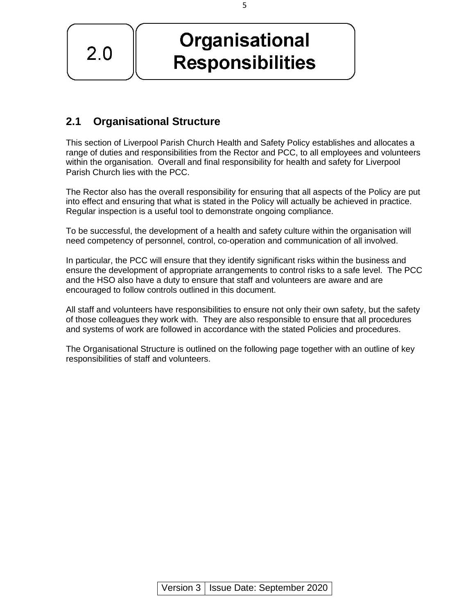**Organisational** 

**Responsibilities** 

**2.1 Organisational Structure** 

 $2.0$ 

This section of Liverpool Parish Church Health and Safety Policy establishes and allocates a range of duties and responsibilities from the Rector and PCC, to all employees and volunteers within the organisation. Overall and final responsibility for health and safety for Liverpool Parish Church lies with the PCC.

The Rector also has the overall responsibility for ensuring that all aspects of the Policy are put into effect and ensuring that what is stated in the Policy will actually be achieved in practice. Regular inspection is a useful tool to demonstrate ongoing compliance.

To be successful, the development of a health and safety culture within the organisation will need competency of personnel, control, co-operation and communication of all involved.

In particular, the PCC will ensure that they identify significant risks within the business and ensure the development of appropriate arrangements to control risks to a safe level. The PCC and the HSO also have a duty to ensure that staff and volunteers are aware and are encouraged to follow controls outlined in this document.

All staff and volunteers have responsibilities to ensure not only their own safety, but the safety of those colleagues they work with. They are also responsible to ensure that all procedures and systems of work are followed in accordance with the stated Policies and procedures.

The Organisational Structure is outlined on the following page together with an outline of key responsibilities of staff and volunteers.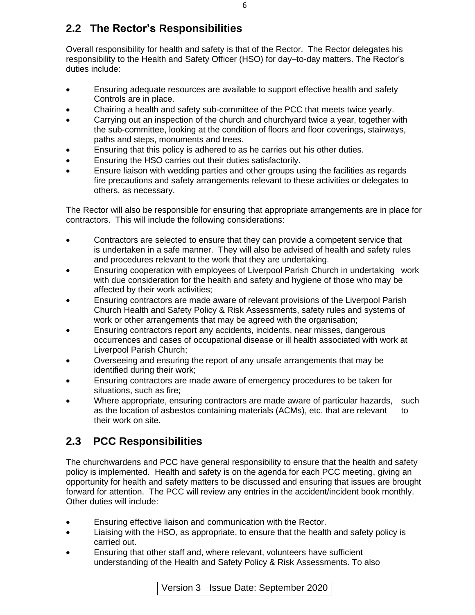# **2.2 The Rector's Responsibilities**

Overall responsibility for health and safety is that of the Rector. The Rector delegates his responsibility to the Health and Safety Officer (HSO) for day–to-day matters. The Rector's duties include:

- Ensuring adequate resources are available to support effective health and safety Controls are in place.
- Chairing a health and safety sub-committee of the PCC that meets twice yearly.
- Carrying out an inspection of the church and churchyard twice a year, together with the sub-committee, looking at the condition of floors and floor coverings, stairways, paths and steps, monuments and trees.
- Ensuring that this policy is adhered to as he carries out his other duties.
- Ensuring the HSO carries out their duties satisfactorily.
- Ensure liaison with wedding parties and other groups using the facilities as regards fire precautions and safety arrangements relevant to these activities or delegates to others, as necessary.

The Rector will also be responsible for ensuring that appropriate arrangements are in place for contractors. This will include the following considerations:

- Contractors are selected to ensure that they can provide a competent service that is undertaken in a safe manner. They will also be advised of health and safety rules and procedures relevant to the work that they are undertaking.
- Ensuring cooperation with employees of Liverpool Parish Church in undertaking work with due consideration for the health and safety and hygiene of those who may be affected by their work activities;
- Ensuring contractors are made aware of relevant provisions of the Liverpool Parish Church Health and Safety Policy & Risk Assessments, safety rules and systems of work or other arrangements that may be agreed with the organisation;
- Ensuring contractors report any accidents, incidents, near misses, dangerous occurrences and cases of occupational disease or ill health associated with work at Liverpool Parish Church;
- Overseeing and ensuring the report of any unsafe arrangements that may be identified during their work;
- Ensuring contractors are made aware of emergency procedures to be taken for situations, such as fire;
- Where appropriate, ensuring contractors are made aware of particular hazards, such as the location of asbestos containing materials (ACMs), etc. that are relevant to their work on site.

# **2.3 PCC Responsibilities**

The churchwardens and PCC have general responsibility to ensure that the health and safety policy is implemented. Health and safety is on the agenda for each PCC meeting, giving an opportunity for health and safety matters to be discussed and ensuring that issues are brought forward for attention. The PCC will review any entries in the accident/incident book monthly. Other duties will include:

- Ensuring effective liaison and communication with the Rector.
- Liaising with the HSO, as appropriate, to ensure that the health and safety policy is carried out.
- Ensuring that other staff and, where relevant, volunteers have sufficient understanding of the Health and Safety Policy & Risk Assessments. To also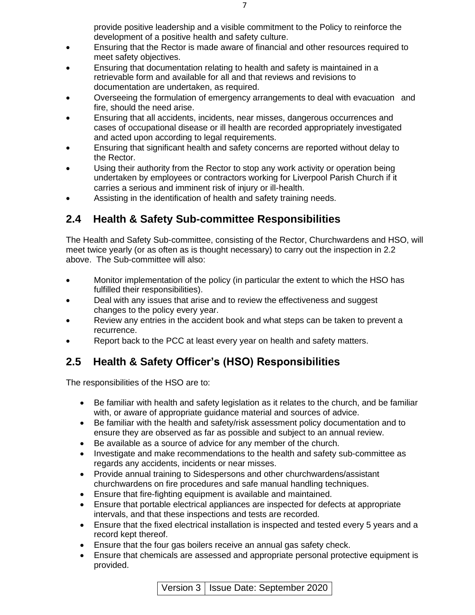provide positive leadership and a visible commitment to the Policy to reinforce the development of a positive health and safety culture.

- Ensuring that the Rector is made aware of financial and other resources required to meet safety objectives.
- Ensuring that documentation relating to health and safety is maintained in a retrievable form and available for all and that reviews and revisions to documentation are undertaken, as required.
- Overseeing the formulation of emergency arrangements to deal with evacuation and fire, should the need arise.
- Ensuring that all accidents, incidents, near misses, dangerous occurrences and cases of occupational disease or ill health are recorded appropriately investigated and acted upon according to legal requirements.
- Ensuring that significant health and safety concerns are reported without delay to the Rector.
- Using their authority from the Rector to stop any work activity or operation being undertaken by employees or contractors working for Liverpool Parish Church if it carries a serious and imminent risk of injury or ill-health.
- Assisting in the identification of health and safety training needs.

# **2.4 Health & Safety Sub-committee Responsibilities**

The Health and Safety Sub-committee, consisting of the Rector, Churchwardens and HSO, will meet twice yearly (or as often as is thought necessary) to carry out the inspection in 2.2 above. The Sub-committee will also:

- Monitor implementation of the policy (in particular the extent to which the HSO has fulfilled their responsibilities).
- Deal with any issues that arise and to review the effectiveness and suggest changes to the policy every year.
- Review any entries in the accident book and what steps can be taken to prevent a recurrence.
- Report back to the PCC at least every year on health and safety matters.

# **2.5 Health & Safety Officer's (HSO) Responsibilities**

The responsibilities of the HSO are to:

- Be familiar with health and safety legislation as it relates to the church, and be familiar with, or aware of appropriate guidance material and sources of advice.
- Be familiar with the health and safety/risk assessment policy documentation and to ensure they are observed as far as possible and subject to an annual review.
- Be available as a source of advice for any member of the church.
- Investigate and make recommendations to the health and safety sub-committee as regards any accidents, incidents or near misses.
- Provide annual training to Sidespersons and other churchwardens/assistant churchwardens on fire procedures and safe manual handling techniques.
- Ensure that fire-fighting equipment is available and maintained.
- Ensure that portable electrical appliances are inspected for defects at appropriate intervals, and that these inspections and tests are recorded.
- Ensure that the fixed electrical installation is inspected and tested every 5 years and a record kept thereof.
- Ensure that the four gas boilers receive an annual gas safety check.
- Ensure that chemicals are assessed and appropriate personal protective equipment is provided.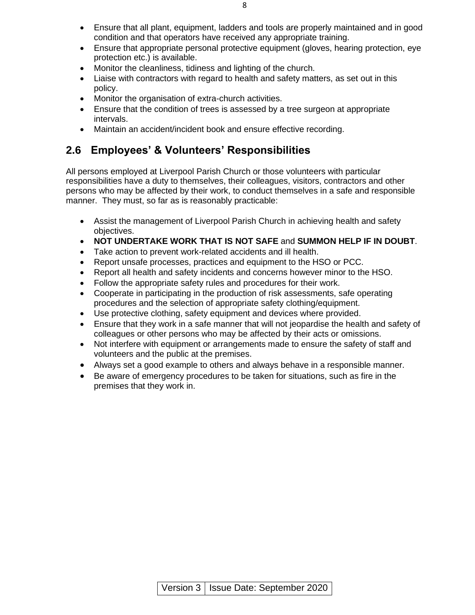- Ensure that all plant, equipment, ladders and tools are properly maintained and in good condition and that operators have received any appropriate training.
- Ensure that appropriate personal protective equipment (gloves, hearing protection, eye protection etc.) is available.
- Monitor the cleanliness, tidiness and lighting of the church.
- Liaise with contractors with regard to health and safety matters, as set out in this policy.
- Monitor the organisation of extra-church activities.
- Ensure that the condition of trees is assessed by a tree surgeon at appropriate intervals.
- Maintain an accident/incident book and ensure effective recording.

# **2.6 Employees' & Volunteers' Responsibilities**

All persons employed at Liverpool Parish Church or those volunteers with particular responsibilities have a duty to themselves, their colleagues, visitors, contractors and other persons who may be affected by their work, to conduct themselves in a safe and responsible manner. They must, so far as is reasonably practicable:

- Assist the management of Liverpool Parish Church in achieving health and safety objectives.
- **NOT UNDERTAKE WORK THAT IS NOT SAFE** and **SUMMON HELP IF IN DOUBT**.
- Take action to prevent work-related accidents and ill health.
- Report unsafe processes, practices and equipment to the HSO or PCC.
- Report all health and safety incidents and concerns however minor to the HSO.
- Follow the appropriate safety rules and procedures for their work.
- Cooperate in participating in the production of risk assessments, safe operating procedures and the selection of appropriate safety clothing/equipment.
- Use protective clothing, safety equipment and devices where provided.
- Ensure that they work in a safe manner that will not jeopardise the health and safety of colleagues or other persons who may be affected by their acts or omissions.
- Not interfere with equipment or arrangements made to ensure the safety of staff and volunteers and the public at the premises.
- Always set a good example to others and always behave in a responsible manner.
- Be aware of emergency procedures to be taken for situations, such as fire in the premises that they work in.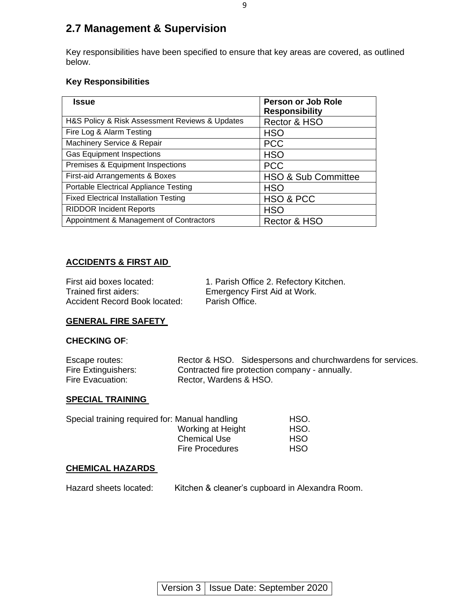# **2.7 Management & Supervision**

Key responsibilities have been specified to ensure that key areas are covered, as outlined below.

#### **Key Responsibilities**

| <b>Issue</b>                                   | <b>Person or Job Role</b><br><b>Responsibility</b> |
|------------------------------------------------|----------------------------------------------------|
| H&S Policy & Risk Assessment Reviews & Updates | Rector & HSO                                       |
| Fire Log & Alarm Testing                       | <b>HSO</b>                                         |
| Machinery Service & Repair                     | <b>PCC</b>                                         |
| <b>Gas Equipment Inspections</b>               | <b>HSO</b>                                         |
| Premises & Equipment Inspections               | <b>PCC</b>                                         |
| First-aid Arrangements & Boxes                 | <b>HSO &amp; Sub Committee</b>                     |
| Portable Electrical Appliance Testing          | <b>HSO</b>                                         |
| <b>Fixed Electrical Installation Testing</b>   | HSO & PCC                                          |
| <b>RIDDOR Incident Reports</b>                 | <b>HSO</b>                                         |
| Appointment & Management of Contractors        | Rector & HSO                                       |

#### **ACCIDENTS & FIRST AID**

| First aid boxes located:      |
|-------------------------------|
| Trained first aiders:         |
| Accident Record Book located: |

1. Parish Office 2. Refectory Kitchen. Emergency First Aid at Work. Parish Office.

#### **GENERAL FIRE SAFETY**

#### **CHECKING OF**:

| Escape routes:      | Rector & HSO. Sidespersons and churchwardens for services. |
|---------------------|------------------------------------------------------------|
| Fire Extinguishers: | Contracted fire protection company - annually.             |
| Fire Evacuation:    | Rector, Wardens & HSO.                                     |

#### **SPECIAL TRAINING**

| Special training required for: Manual handling | HSO.       |
|------------------------------------------------|------------|
| Working at Height                              | HSO.       |
| <b>Chemical Use</b>                            | <b>HSO</b> |
| <b>Fire Procedures</b>                         | <b>HSO</b> |

#### **CHEMICAL HAZARDS**

Hazard sheets located: Kitchen & cleaner's cupboard in Alexandra Room.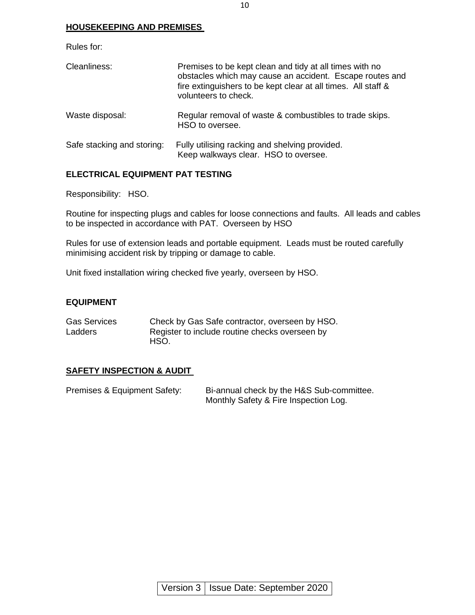#### **HOUSEKEEPING AND PREMISES**

Rules for:

| Cleanliness:               | Premises to be kept clean and tidy at all times with no<br>obstacles which may cause an accident. Escape routes and<br>fire extinguishers to be kept clear at all times. All staff &<br>volunteers to check. |
|----------------------------|--------------------------------------------------------------------------------------------------------------------------------------------------------------------------------------------------------------|
| Waste disposal:            | Regular removal of waste & combustibles to trade skips.<br>HSO to oversee.                                                                                                                                   |
| Safe stacking and storing: | Fully utilising racking and shelving provided.<br>Keep walkways clear. HSO to oversee.                                                                                                                       |

#### **ELECTRICAL EQUIPMENT PAT TESTING**

Responsibility: HSO.

Routine for inspecting plugs and cables for loose connections and faults. All leads and cables to be inspected in accordance with PAT. Overseen by HSO

Rules for use of extension leads and portable equipment. Leads must be routed carefully minimising accident risk by tripping or damage to cable.

Unit fixed installation wiring checked five yearly, overseen by HSO.

#### **EQUIPMENT**

| <b>Gas Services</b> | Check by Gas Safe contractor, overseen by HSO. |
|---------------------|------------------------------------------------|
| Ladders             | Register to include routine checks overseen by |
|                     | HSO.                                           |

#### **SAFETY INSPECTION & AUDIT**

| Premises & Equipment Safety: | Bi-annual check by the H&S Sub-committee. |
|------------------------------|-------------------------------------------|
|                              | Monthly Safety & Fire Inspection Log.     |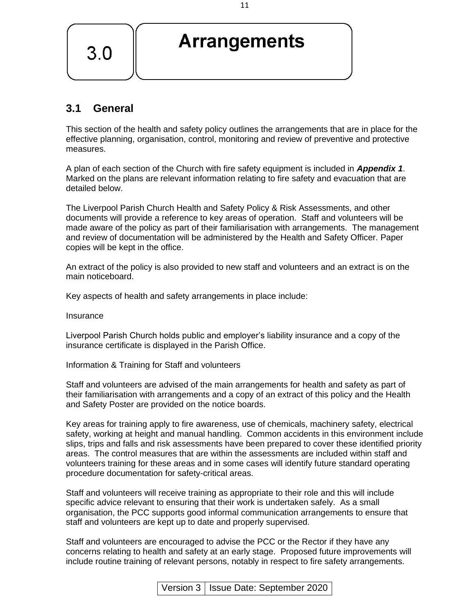

# **3.1 General**

This section of the health and safety policy outlines the arrangements that are in place for the effective planning, organisation, control, monitoring and review of preventive and protective measures.

A plan of each section of the Church with fire safety equipment is included in *Appendix 1*. Marked on the plans are relevant information relating to fire safety and evacuation that are detailed below.

The Liverpool Parish Church Health and Safety Policy & Risk Assessments, and other documents will provide a reference to key areas of operation. Staff and volunteers will be made aware of the policy as part of their familiarisation with arrangements. The management and review of documentation will be administered by the Health and Safety Officer. Paper copies will be kept in the office.

An extract of the policy is also provided to new staff and volunteers and an extract is on the main noticeboard.

Key aspects of health and safety arrangements in place include:

Insurance

Liverpool Parish Church holds public and employer's liability insurance and a copy of the insurance certificate is displayed in the Parish Office.

Information & Training for Staff and volunteers

Staff and volunteers are advised of the main arrangements for health and safety as part of their familiarisation with arrangements and a copy of an extract of this policy and the Health and Safety Poster are provided on the notice boards.

Key areas for training apply to fire awareness, use of chemicals, machinery safety, electrical safety, working at height and manual handling. Common accidents in this environment include slips, trips and falls and risk assessments have been prepared to cover these identified priority areas. The control measures that are within the assessments are included within staff and volunteers training for these areas and in some cases will identify future standard operating procedure documentation for safety-critical areas.

Staff and volunteers will receive training as appropriate to their role and this will include specific advice relevant to ensuring that their work is undertaken safely. As a small organisation, the PCC supports good informal communication arrangements to ensure that staff and volunteers are kept up to date and properly supervised.

Staff and volunteers are encouraged to advise the PCC or the Rector if they have any concerns relating to health and safety at an early stage. Proposed future improvements will include routine training of relevant persons, notably in respect to fire safety arrangements.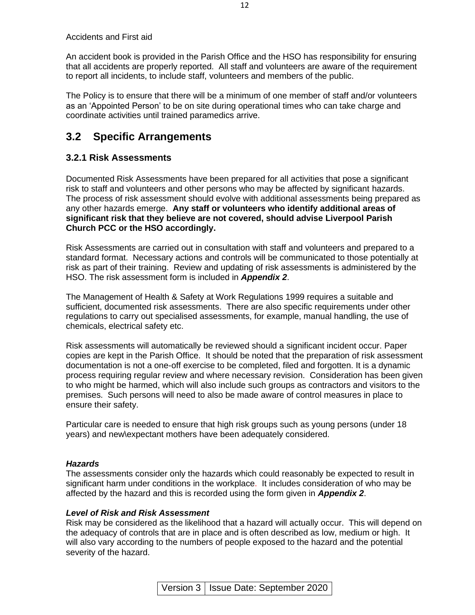Accidents and First aid

An accident book is provided in the Parish Office and the HSO has responsibility for ensuring that all accidents are properly reported. All staff and volunteers are aware of the requirement to report all incidents, to include staff, volunteers and members of the public.

The Policy is to ensure that there will be a minimum of one member of staff and/or volunteers as an 'Appointed Person' to be on site during operational times who can take charge and coordinate activities until trained paramedics arrive.

## **3.2 Specific Arrangements**

#### **3.2.1 Risk Assessments**

Documented Risk Assessments have been prepared for all activities that pose a significant risk to staff and volunteers and other persons who may be affected by significant hazards. The process of risk assessment should evolve with additional assessments being prepared as any other hazards emerge. **Any staff or volunteers who identify additional areas of significant risk that they believe are not covered, should advise Liverpool Parish Church PCC or the HSO accordingly.**

Risk Assessments are carried out in consultation with staff and volunteers and prepared to a standard format. Necessary actions and controls will be communicated to those potentially at risk as part of their training. Review and updating of risk assessments is administered by the HSO. The risk assessment form is included in *Appendix 2*.

The Management of Health & Safety at Work Regulations 1999 requires a suitable and sufficient, documented risk assessments. There are also specific requirements under other regulations to carry out specialised assessments, for example, manual handling, the use of chemicals, electrical safety etc.

Risk assessments will automatically be reviewed should a significant incident occur. Paper copies are kept in the Parish Office. It should be noted that the preparation of risk assessment documentation is not a one-off exercise to be completed, filed and forgotten. It is a dynamic process requiring regular review and where necessary revision. Consideration has been given to who might be harmed, which will also include such groups as contractors and visitors to the premises. Such persons will need to also be made aware of control measures in place to ensure their safety.

Particular care is needed to ensure that high risk groups such as young persons (under 18 years) and new\expectant mothers have been adequately considered.

#### *Hazards*

The assessments consider only the hazards which could reasonably be expected to result in significant harm under conditions in the workplace. It includes consideration of who may be affected by the hazard and this is recorded using the form given in *Appendix 2*.

#### *Level of Risk and Risk Assessment*

Risk may be considered as the likelihood that a hazard will actually occur. This will depend on the adequacy of controls that are in place and is often described as low, medium or high. It will also vary according to the numbers of people exposed to the hazard and the potential severity of the hazard.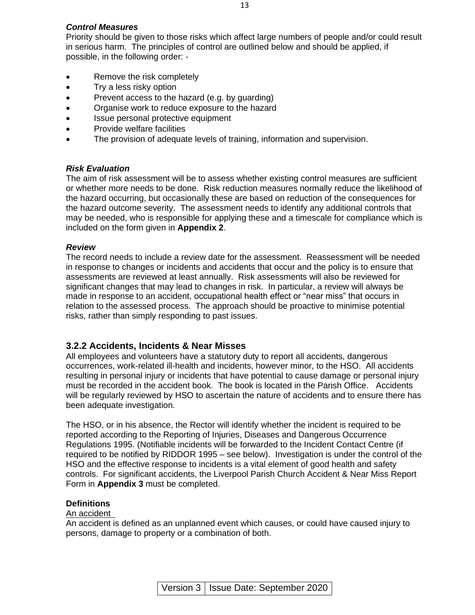#### *Control Measures*

Priority should be given to those risks which affect large numbers of people and/or could result in serious harm. The principles of control are outlined below and should be applied, if possible, in the following order: -

13

- Remove the risk completely
- Try a less risky option
- Prevent access to the hazard (e.g. by guarding)
- Organise work to reduce exposure to the hazard
- Issue personal protective equipment
- Provide welfare facilities
- The provision of adequate levels of training, information and supervision.

#### *Risk Evaluation*

The aim of risk assessment will be to assess whether existing control measures are sufficient or whether more needs to be done. Risk reduction measures normally reduce the likelihood of the hazard occurring, but occasionally these are based on reduction of the consequences for the hazard outcome severity. The assessment needs to identify any additional controls that may be needed, who is responsible for applying these and a timescale for compliance which is included on the form given in **Appendix 2**.

#### *Review*

The record needs to include a review date for the assessment. Reassessment will be needed in response to changes or incidents and accidents that occur and the policy is to ensure that assessments are reviewed at least annually. Risk assessments will also be reviewed for significant changes that may lead to changes in risk. In particular, a review will always be made in response to an accident, occupational health effect or "near miss" that occurs in relation to the assessed process. The approach should be proactive to minimise potential risks, rather than simply responding to past issues.

#### **3.2.2 Accidents, Incidents & Near Misses**

All employees and volunteers have a statutory duty to report all accidents, dangerous occurrences, work-related ill-health and incidents, however minor, to the HSO. All accidents resulting in personal injury or incidents that have potential to cause damage or personal injury must be recorded in the accident book. The book is located in the Parish Office. Accidents will be regularly reviewed by HSO to ascertain the nature of accidents and to ensure there has been adequate investigation.

The HSO, or in his absence, the Rector will identify whether the incident is required to be reported according to the Reporting of Injuries, Diseases and Dangerous Occurrence Regulations 1995. (Notifiable incidents will be forwarded to the Incident Contact Centre (if required to be notified by RIDDOR 1995 – see below). Investigation is under the control of the HSO and the effective response to incidents is a vital element of good health and safety controls. For significant accidents, the Liverpool Parish Church Accident & Near Miss Report Form in **Appendix 3** must be completed.

#### **Definitions**

#### An accident

An accident is defined as an unplanned event which causes, or could have caused injury to persons, damage to property or a combination of both.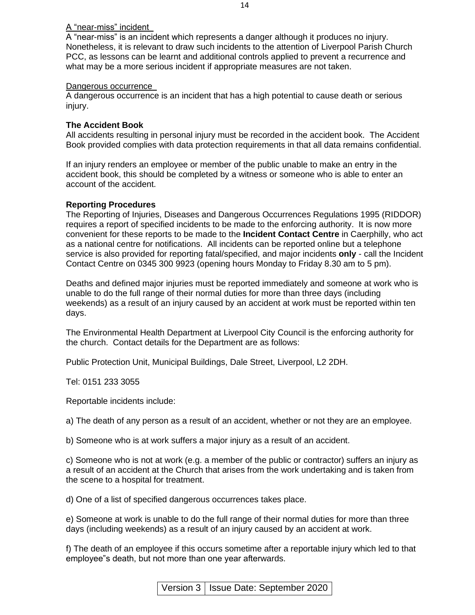#### A "near-miss" incident

A "near-miss" is an incident which represents a danger although it produces no injury. Nonetheless, it is relevant to draw such incidents to the attention of Liverpool Parish Church PCC, as lessons can be learnt and additional controls applied to prevent a recurrence and what may be a more serious incident if appropriate measures are not taken.

#### Dangerous occurrence

A dangerous occurrence is an incident that has a high potential to cause death or serious injury.

#### **The Accident Book**

All accidents resulting in personal injury must be recorded in the accident book. The Accident Book provided complies with data protection requirements in that all data remains confidential.

If an injury renders an employee or member of the public unable to make an entry in the accident book, this should be completed by a witness or someone who is able to enter an account of the accident.

#### **Reporting Procedures**

The Reporting of Injuries, Diseases and Dangerous Occurrences Regulations 1995 (RIDDOR) requires a report of specified incidents to be made to the enforcing authority. It is now more convenient for these reports to be made to the **Incident Contact Centre** in Caerphilly, who act as a national centre for notifications. All incidents can be reported online but a telephone service is also provided for reporting fatal/specified, and major incidents **only** - call the Incident Contact Centre on 0345 300 9923 (opening hours Monday to Friday 8.30 am to 5 pm).

Deaths and defined major injuries must be reported immediately and someone at work who is unable to do the full range of their normal duties for more than three days (including weekends) as a result of an injury caused by an accident at work must be reported within ten days.

The Environmental Health Department at Liverpool City Council is the enforcing authority for the church. Contact details for the Department are as follows:

Public Protection Unit, Municipal Buildings, Dale Street, Liverpool, L2 2DH.

Tel: 0151 233 3055

Reportable incidents include:

a) The death of any person as a result of an accident, whether or not they are an employee.

b) Someone who is at work suffers a major injury as a result of an accident.

c) Someone who is not at work (e.g. a member of the public or contractor) suffers an injury as a result of an accident at the Church that arises from the work undertaking and is taken from the scene to a hospital for treatment.

d) One of a list of specified dangerous occurrences takes place.

e) Someone at work is unable to do the full range of their normal duties for more than three days (including weekends) as a result of an injury caused by an accident at work.

f) The death of an employee if this occurs sometime after a reportable injury which led to that employee"s death, but not more than one year afterwards.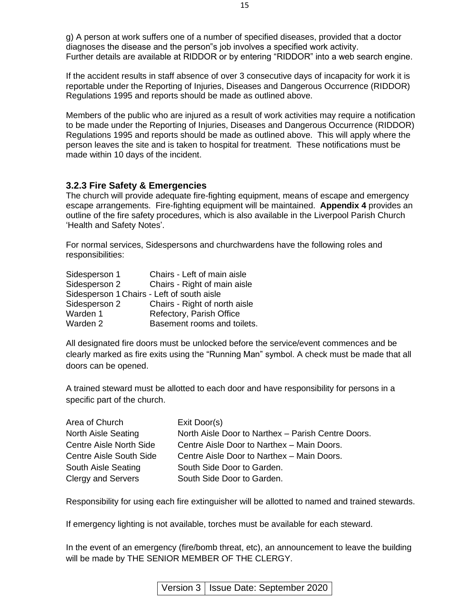g) A person at work suffers one of a number of specified diseases, provided that a doctor diagnoses the disease and the person"s job involves a specified work activity. Further details are available at RIDDOR or by entering "RIDDOR" into a web search engine.

If the accident results in staff absence of over 3 consecutive days of incapacity for work it is reportable under the Reporting of Injuries, Diseases and Dangerous Occurrence (RIDDOR) Regulations 1995 and reports should be made as outlined above.

Members of the public who are injured as a result of work activities may require a notification to be made under the Reporting of Injuries, Diseases and Dangerous Occurrence (RIDDOR) Regulations 1995 and reports should be made as outlined above. This will apply where the person leaves the site and is taken to hospital for treatment. These notifications must be made within 10 days of the incident.

#### **3.2.3 Fire Safety & Emergencies**

The church will provide adequate fire-fighting equipment, means of escape and emergency escape arrangements. Fire-fighting equipment will be maintained. **Appendix 4** provides an outline of the fire safety procedures, which is also available in the Liverpool Parish Church 'Health and Safety Notes'.

For normal services, Sidespersons and churchwardens have the following roles and responsibilities:

| Sidesperson 1                              | Chairs - Left of main aisle   |
|--------------------------------------------|-------------------------------|
| Sidesperson 2                              | Chairs - Right of main aisle  |
| Sidesperson 1 Chairs - Left of south aisle |                               |
| Sidesperson 2                              | Chairs - Right of north aisle |
| Warden 1                                   | Refectory, Parish Office      |
| Warden 2                                   | Basement rooms and toilets.   |

All designated fire doors must be unlocked before the service/event commences and be clearly marked as fire exits using the "Running Man" symbol. A check must be made that all doors can be opened.

A trained steward must be allotted to each door and have responsibility for persons in a specific part of the church.

| Area of Church                 | Exit Door(s)                                       |
|--------------------------------|----------------------------------------------------|
| <b>North Aisle Seating</b>     | North Aisle Door to Narthex - Parish Centre Doors. |
| <b>Centre Aisle North Side</b> | Centre Aisle Door to Narthex - Main Doors.         |
| <b>Centre Aisle South Side</b> | Centre Aisle Door to Narthex - Main Doors.         |
| South Aisle Seating            | South Side Door to Garden.                         |
| <b>Clergy and Servers</b>      | South Side Door to Garden.                         |

Responsibility for using each fire extinguisher will be allotted to named and trained stewards.

If emergency lighting is not available, torches must be available for each steward.

In the event of an emergency (fire/bomb threat, etc), an announcement to leave the building will be made by THE SENIOR MEMBER OF THE CLERGY.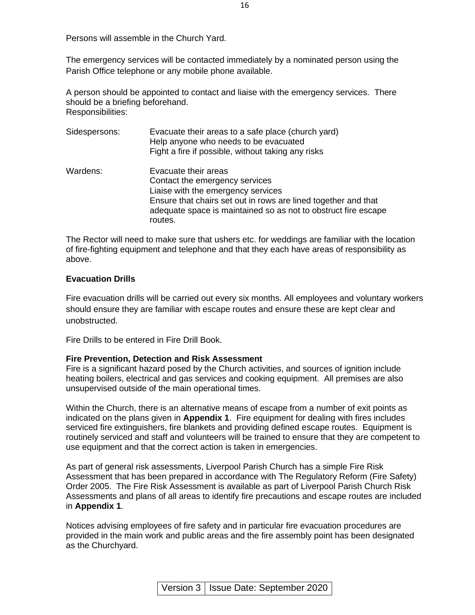Persons will assemble in the Church Yard.

The emergency services will be contacted immediately by a nominated person using the Parish Office telephone or any mobile phone available.

A person should be appointed to contact and liaise with the emergency services. There should be a briefing beforehand. Responsibilities:

| Sidespersons: | Evacuate their areas to a safe place (church yard)<br>Help anyone who needs to be evacuated<br>Fight a fire if possible, without taking any risks                                                                                           |
|---------------|---------------------------------------------------------------------------------------------------------------------------------------------------------------------------------------------------------------------------------------------|
| Wardens:      | Evacuate their areas<br>Contact the emergency services<br>Liaise with the emergency services<br>Ensure that chairs set out in rows are lined together and that<br>adequate space is maintained so as not to obstruct fire escape<br>routes. |

The Rector will need to make sure that ushers etc. for weddings are familiar with the location of fire-fighting equipment and telephone and that they each have areas of responsibility as above.

#### **Evacuation Drills**

Fire evacuation drills will be carried out every six months. All employees and voluntary workers should ensure they are familiar with escape routes and ensure these are kept clear and unobstructed.

Fire Drills to be entered in Fire Drill Book.

#### **Fire Prevention, Detection and Risk Assessment**

Fire is a significant hazard posed by the Church activities, and sources of ignition include heating boilers, electrical and gas services and cooking equipment. All premises are also unsupervised outside of the main operational times.

Within the Church, there is an alternative means of escape from a number of exit points as indicated on the plans given in **Appendix 1**. Fire equipment for dealing with fires includes serviced fire extinguishers, fire blankets and providing defined escape routes. Equipment is routinely serviced and staff and volunteers will be trained to ensure that they are competent to use equipment and that the correct action is taken in emergencies.

As part of general risk assessments, Liverpool Parish Church has a simple Fire Risk Assessment that has been prepared in accordance with The Regulatory Reform (Fire Safety) Order 2005. The Fire Risk Assessment is available as part of Liverpool Parish Church Risk Assessments and plans of all areas to identify fire precautions and escape routes are included in **Appendix 1**.

Notices advising employees of fire safety and in particular fire evacuation procedures are provided in the main work and public areas and the fire assembly point has been designated as the Churchyard.

Version 3 | Issue Date: September 2020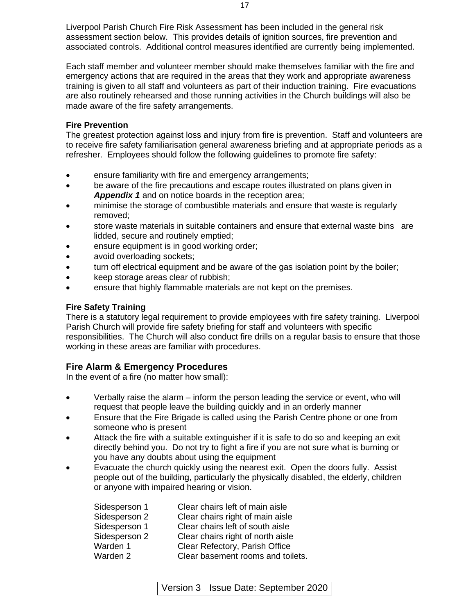Liverpool Parish Church Fire Risk Assessment has been included in the general risk assessment section below. This provides details of ignition sources, fire prevention and associated controls. Additional control measures identified are currently being implemented.

Each staff member and volunteer member should make themselves familiar with the fire and emergency actions that are required in the areas that they work and appropriate awareness training is given to all staff and volunteers as part of their induction training. Fire evacuations are also routinely rehearsed and those running activities in the Church buildings will also be made aware of the fire safety arrangements.

#### **Fire Prevention**

The greatest protection against loss and injury from fire is prevention. Staff and volunteers are to receive fire safety familiarisation general awareness briefing and at appropriate periods as a refresher. Employees should follow the following guidelines to promote fire safety:

- ensure familiarity with fire and emergency arrangements;
- be aware of the fire precautions and escape routes illustrated on plans given in *Appendix 1* and on notice boards in the reception area;
- minimise the storage of combustible materials and ensure that waste is regularly removed;
- store waste materials in suitable containers and ensure that external waste bins are lidded, secure and routinely emptied;
- ensure equipment is in good working order;
- avoid overloading sockets;
- turn off electrical equipment and be aware of the gas isolation point by the boiler;
- keep storage areas clear of rubbish;
- ensure that highly flammable materials are not kept on the premises.

#### **Fire Safety Training**

There is a statutory legal requirement to provide employees with fire safety training. Liverpool Parish Church will provide fire safety briefing for staff and volunteers with specific responsibilities. The Church will also conduct fire drills on a regular basis to ensure that those working in these areas are familiar with procedures.

#### **Fire Alarm & Emergency Procedures**

In the event of a fire (no matter how small):

- Verbally raise the alarm inform the person leading the service or event, who will request that people leave the building quickly and in an orderly manner
- Ensure that the Fire Brigade is called using the Parish Centre phone or one from someone who is present
- Attack the fire with a suitable extinguisher if it is safe to do so and keeping an exit directly behind you. Do not try to fight a fire if you are not sure what is burning or you have any doubts about using the equipment
- Evacuate the church quickly using the nearest exit. Open the doors fully. Assist people out of the building, particularly the physically disabled, the elderly, children or anyone with impaired hearing or vision.

| Sidesperson 1 | Clear chairs left of main aisle   |
|---------------|-----------------------------------|
| Sidesperson 2 | Clear chairs right of main aisle  |
| Sidesperson 1 | Clear chairs left of south aisle  |
| Sidesperson 2 | Clear chairs right of north aisle |
| Warden 1      | Clear Refectory, Parish Office    |
| Warden 2      | Clear basement rooms and toilets. |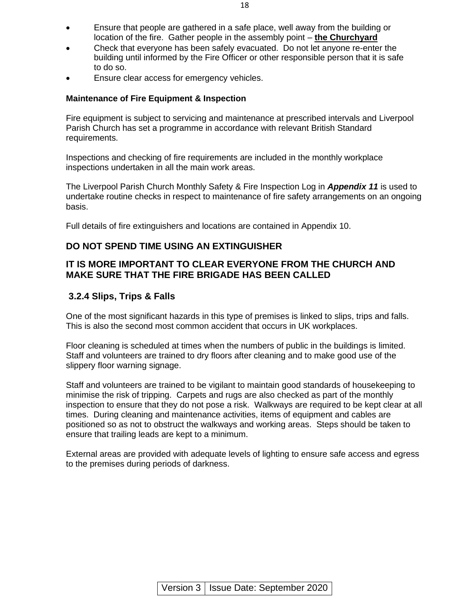- Ensure that people are gathered in a safe place, well away from the building or location of the fire. Gather people in the assembly point – **the Churchyard**
- Check that everyone has been safely evacuated. Do not let anyone re-enter the building until informed by the Fire Officer or other responsible person that it is safe to do so.
- Ensure clear access for emergency vehicles.

#### **Maintenance of Fire Equipment & Inspection**

Fire equipment is subject to servicing and maintenance at prescribed intervals and Liverpool Parish Church has set a programme in accordance with relevant British Standard requirements.

Inspections and checking of fire requirements are included in the monthly workplace inspections undertaken in all the main work areas.

The Liverpool Parish Church Monthly Safety & Fire Inspection Log in *Appendix 11* is used to undertake routine checks in respect to maintenance of fire safety arrangements on an ongoing basis.

Full details of fire extinguishers and locations are contained in Appendix 10.

#### **DO NOT SPEND TIME USING AN EXTINGUISHER**

#### **IT IS MORE IMPORTANT TO CLEAR EVERYONE FROM THE CHURCH AND MAKE SURE THAT THE FIRE BRIGADE HAS BEEN CALLED**

#### **3.2.4 Slips, Trips & Falls**

One of the most significant hazards in this type of premises is linked to slips, trips and falls. This is also the second most common accident that occurs in UK workplaces.

Floor cleaning is scheduled at times when the numbers of public in the buildings is limited. Staff and volunteers are trained to dry floors after cleaning and to make good use of the slippery floor warning signage.

Staff and volunteers are trained to be vigilant to maintain good standards of housekeeping to minimise the risk of tripping. Carpets and rugs are also checked as part of the monthly inspection to ensure that they do not pose a risk. Walkways are required to be kept clear at all times. During cleaning and maintenance activities, items of equipment and cables are positioned so as not to obstruct the walkways and working areas. Steps should be taken to ensure that trailing leads are kept to a minimum.

External areas are provided with adequate levels of lighting to ensure safe access and egress to the premises during periods of darkness.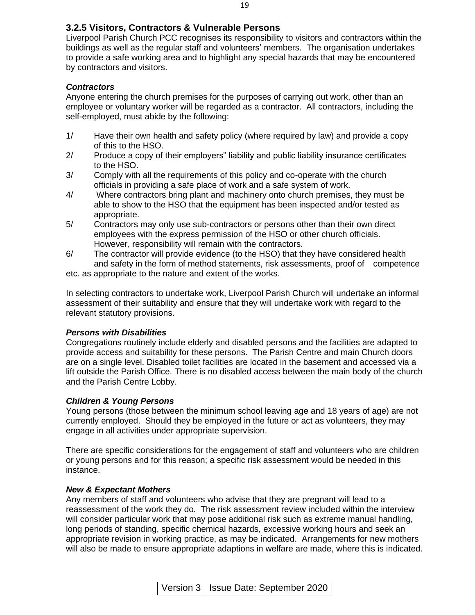Liverpool Parish Church PCC recognises its responsibility to visitors and contractors within the buildings as well as the regular staff and volunteers' members. The organisation undertakes to provide a safe working area and to highlight any special hazards that may be encountered by contractors and visitors.

#### *Contractors*

Anyone entering the church premises for the purposes of carrying out work, other than an employee or voluntary worker will be regarded as a contractor. All contractors, including the self-employed, must abide by the following:

- 1/ Have their own health and safety policy (where required by law) and provide a copy of this to the HSO.
- 2/ Produce a copy of their employers" liability and public liability insurance certificates to the HSO.
- 3/ Comply with all the requirements of this policy and co-operate with the church officials in providing a safe place of work and a safe system of work.
- 4/ Where contractors bring plant and machinery onto church premises, they must be able to show to the HSO that the equipment has been inspected and/or tested as appropriate.
- 5/ Contractors may only use sub-contractors or persons other than their own direct employees with the express permission of the HSO or other church officials. However, responsibility will remain with the contractors.
- 6/ The contractor will provide evidence (to the HSO) that they have considered health and safety in the form of method statements, risk assessments, proof of competence

etc. as appropriate to the nature and extent of the works.

In selecting contractors to undertake work, Liverpool Parish Church will undertake an informal assessment of their suitability and ensure that they will undertake work with regard to the relevant statutory provisions.

### *Persons with Disabilities*

Congregations routinely include elderly and disabled persons and the facilities are adapted to provide access and suitability for these persons. The Parish Centre and main Church doors are on a single level. Disabled toilet facilities are located in the basement and accessed via a lift outside the Parish Office. There is no disabled access between the main body of the church and the Parish Centre Lobby.

### *Children & Young Persons*

Young persons (those between the minimum school leaving age and 18 years of age) are not currently employed. Should they be employed in the future or act as volunteers, they may engage in all activities under appropriate supervision.

There are specific considerations for the engagement of staff and volunteers who are children or young persons and for this reason; a specific risk assessment would be needed in this instance.

#### *New & Expectant Mothers*

Any members of staff and volunteers who advise that they are pregnant will lead to a reassessment of the work they do. The risk assessment review included within the interview will consider particular work that may pose additional risk such as extreme manual handling, long periods of standing, specific chemical hazards, excessive working hours and seek an appropriate revision in working practice, as may be indicated. Arrangements for new mothers will also be made to ensure appropriate adaptions in welfare are made, where this is indicated.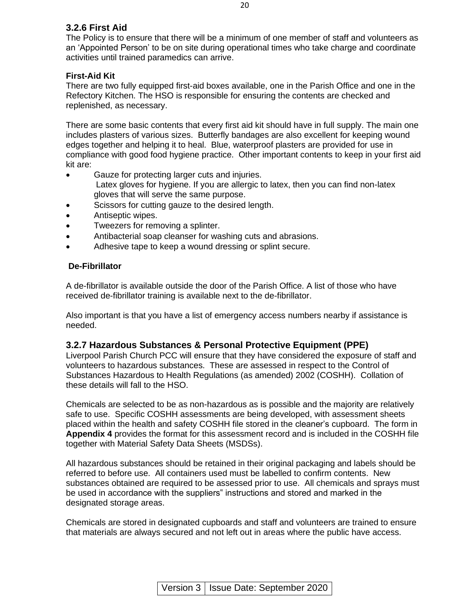#### **3.2.6 First Aid**

The Policy is to ensure that there will be a minimum of one member of staff and volunteers as an 'Appointed Person' to be on site during operational times who take charge and coordinate activities until trained paramedics can arrive.

#### **First-Aid Kit**

There are two fully equipped first-aid boxes available, one in the Parish Office and one in the Refectory Kitchen. The HSO is responsible for ensuring the contents are checked and replenished, as necessary.

There are some basic contents that every first aid kit should have in full supply. The main one includes plasters of various sizes. Butterfly bandages are also excellent for keeping wound edges together and helping it to heal. Blue, waterproof plasters are provided for use in compliance with good food hygiene practice. Other important contents to keep in your first aid kit are:

- Gauze for protecting larger cuts and injuries.
	- Latex gloves for hygiene. If you are allergic to latex, then you can find non-latex gloves that will serve the same purpose.
- Scissors for cutting gauze to the desired length.
- Antiseptic wipes.
- Tweezers for removing a splinter.
- Antibacterial soap cleanser for washing cuts and abrasions.
- Adhesive tape to keep a wound dressing or splint secure.

#### **De-Fibrillator**

A de-fibrillator is available outside the door of the Parish Office. A list of those who have received de-fibrillator training is available next to the de-fibrillator.

Also important is that you have a list of emergency access numbers nearby if assistance is needed.

#### **3.2.7 Hazardous Substances & Personal Protective Equipment (PPE)**

Liverpool Parish Church PCC will ensure that they have considered the exposure of staff and volunteers to hazardous substances. These are assessed in respect to the Control of Substances Hazardous to Health Regulations (as amended) 2002 (COSHH). Collation of these details will fall to the HSO.

Chemicals are selected to be as non-hazardous as is possible and the majority are relatively safe to use. Specific COSHH assessments are being developed, with assessment sheets placed within the health and safety COSHH file stored in the cleaner's cupboard. The form in **Appendix 4** provides the format for this assessment record and is included in the COSHH file together with Material Safety Data Sheets (MSDSs).

All hazardous substances should be retained in their original packaging and labels should be referred to before use. All containers used must be labelled to confirm contents. New substances obtained are required to be assessed prior to use. All chemicals and sprays must be used in accordance with the suppliers" instructions and stored and marked in the designated storage areas.

Chemicals are stored in designated cupboards and staff and volunteers are trained to ensure that materials are always secured and not left out in areas where the public have access.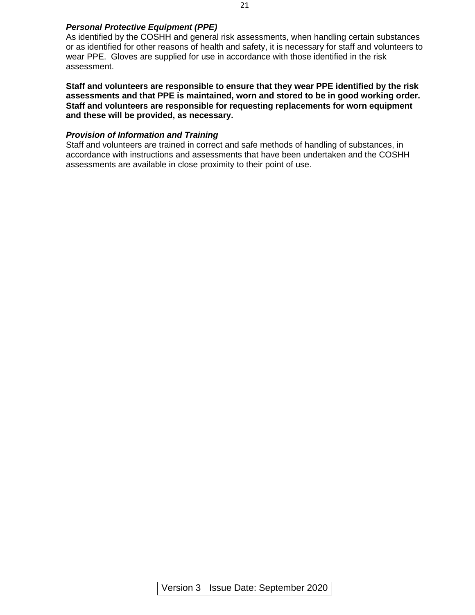#### *Personal Protective Equipment (PPE)*

As identified by the COSHH and general risk assessments, when handling certain substances or as identified for other reasons of health and safety, it is necessary for staff and volunteers to wear PPE. Gloves are supplied for use in accordance with those identified in the risk assessment.

**Staff and volunteers are responsible to ensure that they wear PPE identified by the risk assessments and that PPE is maintained, worn and stored to be in good working order. Staff and volunteers are responsible for requesting replacements for worn equipment and these will be provided, as necessary.** 

#### *Provision of Information and Training*

Staff and volunteers are trained in correct and safe methods of handling of substances, in accordance with instructions and assessments that have been undertaken and the COSHH assessments are available in close proximity to their point of use.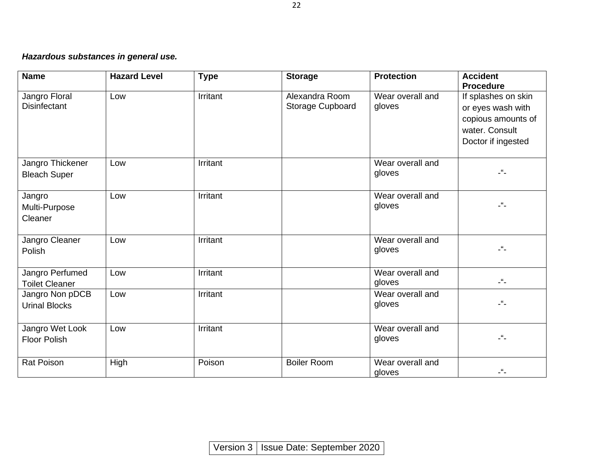# *Hazardous substances in general use.*

| <b>Name</b>                              | <b>Hazard Level</b> | <b>Type</b> | <b>Storage</b>                     | <b>Protection</b>          | <b>Accident</b><br><b>Procedure</b>                                                                    |
|------------------------------------------|---------------------|-------------|------------------------------------|----------------------------|--------------------------------------------------------------------------------------------------------|
| Jangro Floral<br><b>Disinfectant</b>     | Low                 | Irritant    | Alexandra Room<br>Storage Cupboard | Wear overall and<br>gloves | If splashes on skin<br>or eyes wash with<br>copious amounts of<br>water. Consult<br>Doctor if ingested |
| Jangro Thickener<br><b>Bleach Super</b>  | Low                 | Irritant    |                                    | Wear overall and<br>gloves | $\mathcal{L}^{\mathcal{U}}$ .                                                                          |
| Jangro<br>Multi-Purpose<br>Cleaner       | Low                 | Irritant    |                                    | Wear overall and<br>gloves | $-$ <sup>66</sup> $-$                                                                                  |
| Jangro Cleaner<br>Polish                 | Low                 | Irritant    |                                    | Wear overall and<br>gloves | $\mathcal{L}^{\mathcal{U}}$ .                                                                          |
| Jangro Perfumed<br><b>Toilet Cleaner</b> | Low                 | Irritant    |                                    | Wear overall and<br>gloves | $\mathcal{L}^{\mathcal{U}}\mathcal{L}$                                                                 |
| Jangro Non pDCB<br><b>Urinal Blocks</b>  | Low                 | Irritant    |                                    | Wear overall and<br>gloves | $-$ <sup>66</sup>                                                                                      |
| Jangro Wet Look<br><b>Floor Polish</b>   | Low                 | Irritant    |                                    | Wear overall and<br>gloves | $-$ " $-$                                                                                              |
| <b>Rat Poison</b>                        | High                | Poison      | <b>Boiler Room</b>                 | Wear overall and<br>gloves |                                                                                                        |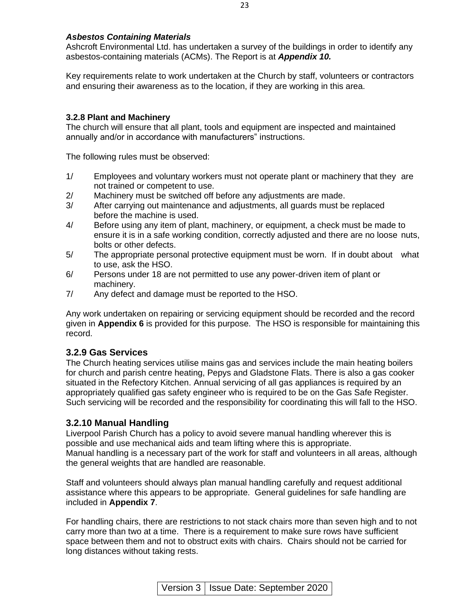#### *Asbestos Containing Materials*

Ashcroft Environmental Ltd. has undertaken a survey of the buildings in order to identify any asbestos-containing materials (ACMs). The Report is at *Appendix 10.*

Key requirements relate to work undertaken at the Church by staff, volunteers or contractors and ensuring their awareness as to the location, if they are working in this area.

#### **3.2.8 Plant and Machinery**

The church will ensure that all plant, tools and equipment are inspected and maintained annually and/or in accordance with manufacturers" instructions.

The following rules must be observed:

- 1/ Employees and voluntary workers must not operate plant or machinery that they are not trained or competent to use.
- 2/ Machinery must be switched off before any adjustments are made.
- 3/ After carrying out maintenance and adjustments, all guards must be replaced before the machine is used.
- 4/ Before using any item of plant, machinery, or equipment, a check must be made to ensure it is in a safe working condition, correctly adjusted and there are no loose nuts, bolts or other defects.
- 5/ The appropriate personal protective equipment must be worn. If in doubt about what to use, ask the HSO.
- 6/ Persons under 18 are not permitted to use any power-driven item of plant or machinery.
- 7/ Any defect and damage must be reported to the HSO.

Any work undertaken on repairing or servicing equipment should be recorded and the record given in **Appendix 6** is provided for this purpose. The HSO is responsible for maintaining this record.

#### **3.2.9 Gas Services**

The Church heating services utilise mains gas and services include the main heating boilers for church and parish centre heating, Pepys and Gladstone Flats. There is also a gas cooker situated in the Refectory Kitchen. Annual servicing of all gas appliances is required by an appropriately qualified gas safety engineer who is required to be on the Gas Safe Register. Such servicing will be recorded and the responsibility for coordinating this will fall to the HSO.

#### **3.2.10 Manual Handling**

Liverpool Parish Church has a policy to avoid severe manual handling wherever this is possible and use mechanical aids and team lifting where this is appropriate. Manual handling is a necessary part of the work for staff and volunteers in all areas, although the general weights that are handled are reasonable.

Staff and volunteers should always plan manual handling carefully and request additional assistance where this appears to be appropriate. General guidelines for safe handling are included in **Appendix 7**.

For handling chairs, there are restrictions to not stack chairs more than seven high and to not carry more than two at a time. There is a requirement to make sure rows have sufficient space between them and not to obstruct exits with chairs. Chairs should not be carried for long distances without taking rests.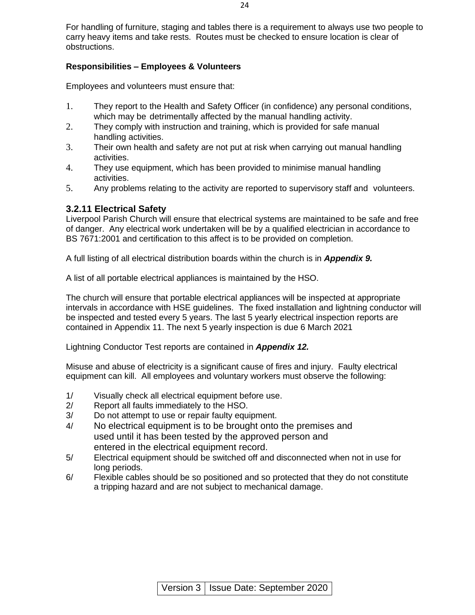For handling of furniture, staging and tables there is a requirement to always use two people to carry heavy items and take rests. Routes must be checked to ensure location is clear of obstructions.

#### **Responsibilities – Employees & Volunteers**

Employees and volunteers must ensure that:

- 1. They report to the Health and Safety Officer (in confidence) any personal conditions, which may be detrimentally affected by the manual handling activity.
- 2. They comply with instruction and training, which is provided for safe manual handling activities.
- 3. Their own health and safety are not put at risk when carrying out manual handling activities.
- 4. They use equipment, which has been provided to minimise manual handling activities.
- 5. Any problems relating to the activity are reported to supervisory staff and volunteers.

#### **3.2.11 Electrical Safety**

Liverpool Parish Church will ensure that electrical systems are maintained to be safe and free of danger. Any electrical work undertaken will be by a qualified electrician in accordance to BS 7671:2001 and certification to this affect is to be provided on completion.

A full listing of all electrical distribution boards within the church is in *Appendix 9.*

A list of all portable electrical appliances is maintained by the HSO.

The church will ensure that portable electrical appliances will be inspected at appropriate intervals in accordance with HSE guidelines. The fixed installation and lightning conductor will be inspected and tested every 5 years. The last 5 yearly electrical inspection reports are contained in Appendix 11. The next 5 yearly inspection is due 6 March 2021

Lightning Conductor Test reports are contained in *Appendix 12.*

Misuse and abuse of electricity is a significant cause of fires and injury. Faulty electrical equipment can kill. All employees and voluntary workers must observe the following:

- 1/ Visually check all electrical equipment before use.
- 2/ Report all faults immediately to the HSO.
- 3/ Do not attempt to use or repair faulty equipment.
- 4/ No electrical equipment is to be brought onto the premises and used until it has been tested by the approved person and entered in the electrical equipment record.
- 5/ Electrical equipment should be switched off and disconnected when not in use for long periods.
- 6/ Flexible cables should be so positioned and so protected that they do not constitute a tripping hazard and are not subject to mechanical damage.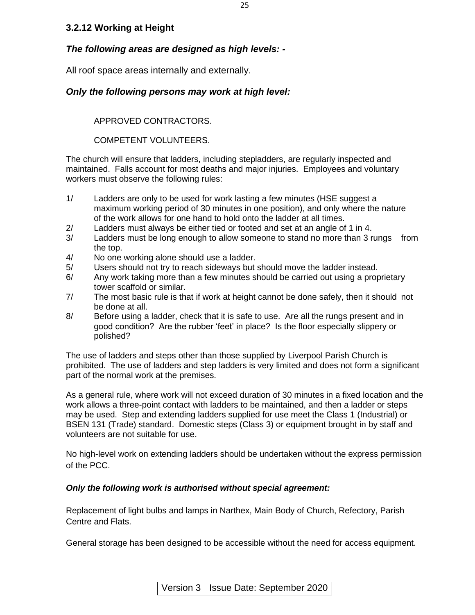#### **3.2.12 Working at Height**

#### *The following areas are designed as high levels: -*

All roof space areas internally and externally.

#### *Only the following persons may work at high level:*

APPROVED CONTRACTORS.

COMPETENT VOLUNTEERS.

The church will ensure that ladders, including stepladders, are regularly inspected and maintained. Falls account for most deaths and major injuries. Employees and voluntary workers must observe the following rules:

- 1/ Ladders are only to be used for work lasting a few minutes (HSE suggest a maximum working period of 30 minutes in one position), and only where the nature of the work allows for one hand to hold onto the ladder at all times.
- 2/ Ladders must always be either tied or footed and set at an angle of 1 in 4.
- 3/ Ladders must be long enough to allow someone to stand no more than 3 rungs from the top.
- 4/ No one working alone should use a ladder.
- 5/ Users should not try to reach sideways but should move the ladder instead.
- 6/ Any work taking more than a few minutes should be carried out using a proprietary tower scaffold or similar.
- 7/ The most basic rule is that if work at height cannot be done safely, then it should not be done at all.
- 8/ Before using a ladder, check that it is safe to use. Are all the rungs present and in good condition? Are the rubber 'feet' in place? Is the floor especially slippery or polished?

The use of ladders and steps other than those supplied by Liverpool Parish Church is prohibited. The use of ladders and step ladders is very limited and does not form a significant part of the normal work at the premises.

As a general rule, where work will not exceed duration of 30 minutes in a fixed location and the work allows a three-point contact with ladders to be maintained, and then a ladder or steps may be used. Step and extending ladders supplied for use meet the Class 1 (Industrial) or BSEN 131 (Trade) standard. Domestic steps (Class 3) or equipment brought in by staff and volunteers are not suitable for use.

No high-level work on extending ladders should be undertaken without the express permission of the PCC.

#### *Only the following work is authorised without special agreement:*

Replacement of light bulbs and lamps in Narthex, Main Body of Church, Refectory, Parish Centre and Flats.

General storage has been designed to be accessible without the need for access equipment.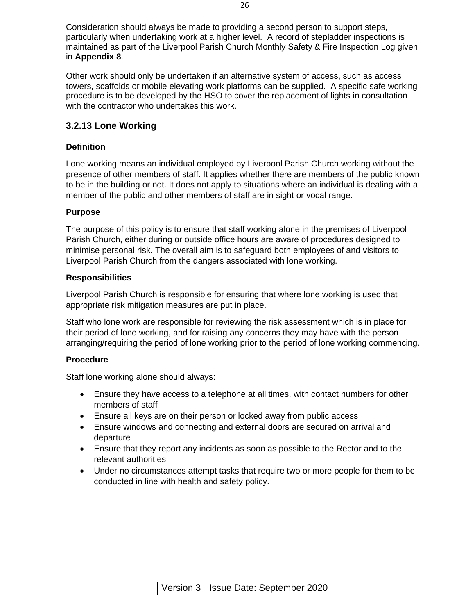Consideration should always be made to providing a second person to support steps, particularly when undertaking work at a higher level. A record of stepladder inspections is maintained as part of the Liverpool Parish Church Monthly Safety & Fire Inspection Log given in **Appendix 8**.

Other work should only be undertaken if an alternative system of access, such as access towers, scaffolds or mobile elevating work platforms can be supplied. A specific safe working procedure is to be developed by the HSO to cover the replacement of lights in consultation with the contractor who undertakes this work.

#### **3.2.13 Lone Working**

#### **Definition**

Lone working means an individual employed by Liverpool Parish Church working without the presence of other members of staff. It applies whether there are members of the public known to be in the building or not. It does not apply to situations where an individual is dealing with a member of the public and other members of staff are in sight or vocal range.

#### **Purpose**

The purpose of this policy is to ensure that staff working alone in the premises of Liverpool Parish Church, either during or outside office hours are aware of procedures designed to minimise personal risk. The overall aim is to safeguard both employees of and visitors to Liverpool Parish Church from the dangers associated with lone working.

#### **Responsibilities**

Liverpool Parish Church is responsible for ensuring that where lone working is used that appropriate risk mitigation measures are put in place.

Staff who lone work are responsible for reviewing the risk assessment which is in place for their period of lone working, and for raising any concerns they may have with the person arranging/requiring the period of lone working prior to the period of lone working commencing.

#### **Procedure**

Staff lone working alone should always:

- Ensure they have access to a telephone at all times, with contact numbers for other members of staff
- Ensure all keys are on their person or locked away from public access
- Ensure windows and connecting and external doors are secured on arrival and departure
- Ensure that they report any incidents as soon as possible to the Rector and to the relevant authorities
- Under no circumstances attempt tasks that require two or more people for them to be conducted in line with health and safety policy.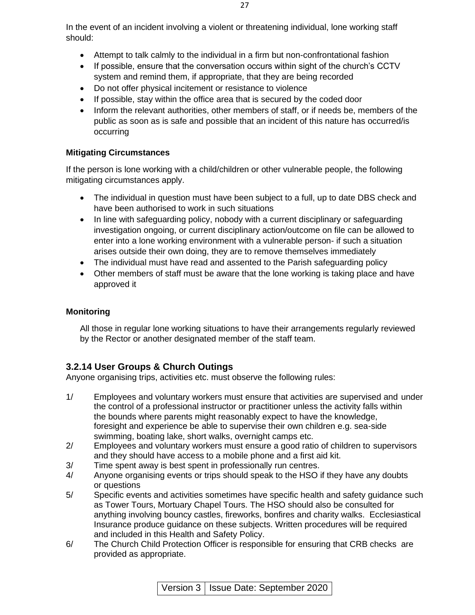In the event of an incident involving a violent or threatening individual, lone working staff should:

- Attempt to talk calmly to the individual in a firm but non-confrontational fashion
- If possible, ensure that the conversation occurs within sight of the church's CCTV system and remind them, if appropriate, that they are being recorded
- Do not offer physical incitement or resistance to violence
- If possible, stay within the office area that is secured by the coded door
- Inform the relevant authorities, other members of staff, or if needs be, members of the public as soon as is safe and possible that an incident of this nature has occurred/is occurring

#### **Mitigating Circumstances**

If the person is lone working with a child/children or other vulnerable people, the following mitigating circumstances apply.

- The individual in question must have been subject to a full, up to date DBS check and have been authorised to work in such situations
- In line with safeguarding policy, nobody with a current disciplinary or safeguarding investigation ongoing, or current disciplinary action/outcome on file can be allowed to enter into a lone working environment with a vulnerable person- if such a situation arises outside their own doing, they are to remove themselves immediately
- The individual must have read and assented to the Parish safeguarding policy
- Other members of staff must be aware that the lone working is taking place and have approved it

#### **Monitoring**

All those in regular lone working situations to have their arrangements regularly reviewed by the Rector or another designated member of the staff team.

#### **3.2.14 User Groups & Church Outings**

Anyone organising trips, activities etc. must observe the following rules:

- 1/ Employees and voluntary workers must ensure that activities are supervised and under the control of a professional instructor or practitioner unless the activity falls within the bounds where parents might reasonably expect to have the knowledge, foresight and experience be able to supervise their own children e.g. sea-side swimming, boating lake, short walks, overnight camps etc.
- 2/ Employees and voluntary workers must ensure a good ratio of children to supervisors and they should have access to a mobile phone and a first aid kit.
- 3/ Time spent away is best spent in professionally run centres.
- 4/ Anyone organising events or trips should speak to the HSO if they have any doubts or questions
- 5/ Specific events and activities sometimes have specific health and safety guidance such as Tower Tours, Mortuary Chapel Tours. The HSO should also be consulted for anything involving bouncy castles, fireworks, bonfires and charity walks. Ecclesiastical Insurance produce guidance on these subjects. Written procedures will be required and included in this Health and Safety Policy.
- 6/ The Church Child Protection Officer is responsible for ensuring that CRB checks are provided as appropriate.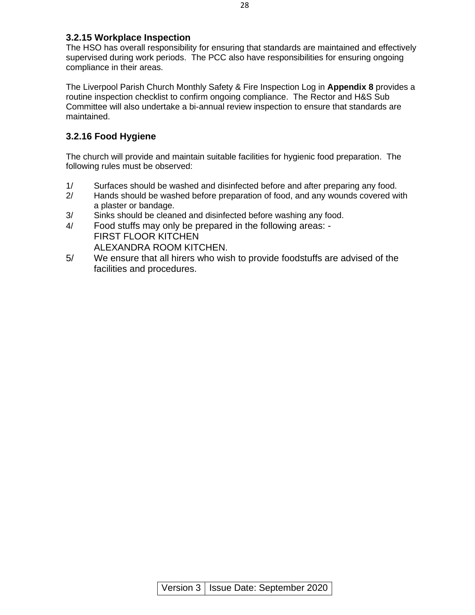#### **3.2.15 Workplace Inspection**

The HSO has overall responsibility for ensuring that standards are maintained and effectively supervised during work periods. The PCC also have responsibilities for ensuring ongoing compliance in their areas.

The Liverpool Parish Church Monthly Safety & Fire Inspection Log in **Appendix 8** provides a routine inspection checklist to confirm ongoing compliance. The Rector and H&S Sub Committee will also undertake a bi-annual review inspection to ensure that standards are maintained.

#### **3.2.16 Food Hygiene**

The church will provide and maintain suitable facilities for hygienic food preparation. The following rules must be observed:

- 1/ Surfaces should be washed and disinfected before and after preparing any food.
- 2/ Hands should be washed before preparation of food, and any wounds covered with a plaster or bandage.
- 3/ Sinks should be cleaned and disinfected before washing any food.
- 4/ Food stuffs may only be prepared in the following areas: FIRST FLOOR KITCHEN ALEXANDRA ROOM KITCHEN.
- 5/ We ensure that all hirers who wish to provide foodstuffs are advised of the facilities and procedures.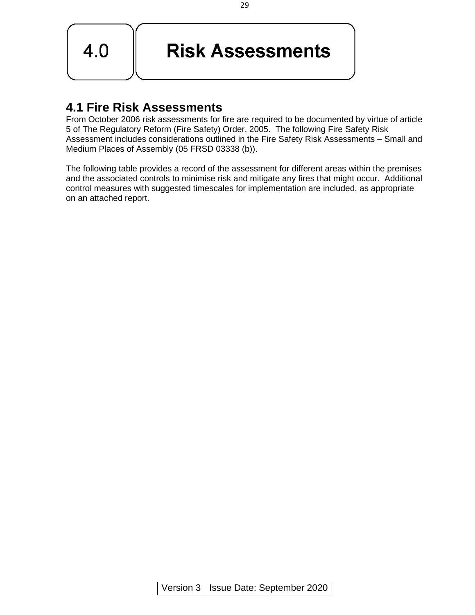

# **Risk Assessments**

# **4.1 Fire Risk Assessments**

From October 2006 risk assessments for fire are required to be documented by virtue of article 5 of The Regulatory Reform (Fire Safety) Order, 2005. The following Fire Safety Risk Assessment includes considerations outlined in the Fire Safety Risk Assessments – Small and Medium Places of Assembly (05 FRSD 03338 (b)).

The following table provides a record of the assessment for different areas within the premises and the associated controls to minimise risk and mitigate any fires that might occur. Additional control measures with suggested timescales for implementation are included, as appropriate on an attached report.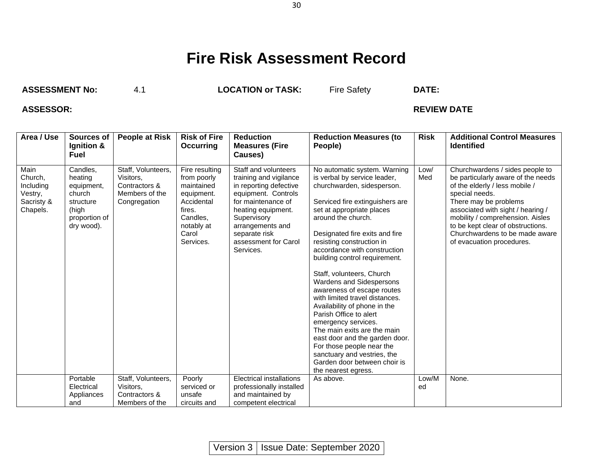# **Fire Risk Assessment Record**

**ASSESSMENT No:** 4.1 **LOCATION or TASK:** Fire Safety **DATE:**

### **ASSESSOR: REVIEW DATE**

| Area / Use                                                        | Sources of<br>Ignition &<br><b>Fuel</b>                                                          | <b>People at Risk</b>                                                              | <b>Risk of Fire</b><br>Occurring                                                                                                  | <b>Reduction</b><br><b>Measures (Fire</b><br>Causes)                                                                                                                                                                                 | <b>Reduction Measures (to</b><br>People)                                                                                                                                                                                                                                                                                                                                                                                                                                                                                                                                                                                                                                                                       | <b>Risk</b> | <b>Additional Control Measures</b><br><b>Identified</b>                                                                                                                                                                                                                                                                         |
|-------------------------------------------------------------------|--------------------------------------------------------------------------------------------------|------------------------------------------------------------------------------------|-----------------------------------------------------------------------------------------------------------------------------------|--------------------------------------------------------------------------------------------------------------------------------------------------------------------------------------------------------------------------------------|----------------------------------------------------------------------------------------------------------------------------------------------------------------------------------------------------------------------------------------------------------------------------------------------------------------------------------------------------------------------------------------------------------------------------------------------------------------------------------------------------------------------------------------------------------------------------------------------------------------------------------------------------------------------------------------------------------------|-------------|---------------------------------------------------------------------------------------------------------------------------------------------------------------------------------------------------------------------------------------------------------------------------------------------------------------------------------|
| Main<br>Church,<br>Including<br>Vestry,<br>Sacristy &<br>Chapels. | Candles.<br>heating<br>equipment,<br>church<br>structure<br>(high<br>proportion of<br>dry wood). | Staff, Volunteers,<br>Visitors,<br>Contractors &<br>Members of the<br>Congregation | Fire resulting<br>from poorly<br>maintained<br>equipment.<br>Accidental<br>fires.<br>Candles.<br>notably at<br>Carol<br>Services. | Staff and volunteers<br>training and vigilance<br>in reporting defective<br>equipment. Controls<br>for maintenance of<br>heating equipment.<br>Supervisory<br>arrangements and<br>separate risk<br>assessment for Carol<br>Services. | No automatic system. Warning<br>is verbal by service leader,<br>churchwarden, sidesperson.<br>Serviced fire extinguishers are<br>set at appropriate places<br>around the church.<br>Designated fire exits and fire<br>resisting construction in<br>accordance with construction<br>building control requirement.<br>Staff, volunteers, Church<br>Wardens and Sidespersons<br>awareness of escape routes<br>with limited travel distances.<br>Availability of phone in the<br>Parish Office to alert<br>emergency services.<br>The main exits are the main<br>east door and the garden door.<br>For those people near the<br>sanctuary and vestries, the<br>Garden door between choir is<br>the nearest egress. | Low/<br>Med | Churchwardens / sides people to<br>be particularly aware of the needs<br>of the elderly / less mobile /<br>special needs.<br>There may be problems<br>associated with sight / hearing /<br>mobility / comprehension. Aisles<br>to be kept clear of obstructions.<br>Churchwardens to be made aware<br>of evacuation procedures. |
|                                                                   | Portable<br>Electrical<br>Appliances<br>and                                                      | Staff, Volunteers,<br>Visitors,<br>Contractors &<br>Members of the                 | Poorly<br>serviced or<br>unsafe<br>circuits and                                                                                   | <b>Electrical installations</b><br>professionally installed<br>and maintained by<br>competent electrical                                                                                                                             | As above.                                                                                                                                                                                                                                                                                                                                                                                                                                                                                                                                                                                                                                                                                                      | Low/M<br>ed | None.                                                                                                                                                                                                                                                                                                                           |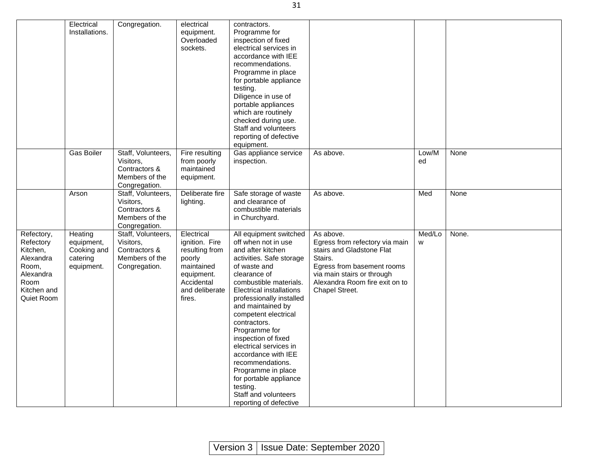|                                                                                                             | Electrical<br>Installations.                                   | Congregation.                                                                       | electrical<br>equipment.<br>Overloaded<br>sockets.                                                                             | contractors.<br>Programme for<br>inspection of fixed<br>electrical services in<br>accordance with IEE<br>recommendations.<br>Programme in place<br>for portable appliance<br>testing.<br>Diligence in use of<br>portable appliances<br>which are routinely<br>checked during use.<br>Staff and volunteers<br>reporting of defective<br>equipment.                                                                                                                                                               |                                                                                                                                                                                                     |             |       |
|-------------------------------------------------------------------------------------------------------------|----------------------------------------------------------------|-------------------------------------------------------------------------------------|--------------------------------------------------------------------------------------------------------------------------------|-----------------------------------------------------------------------------------------------------------------------------------------------------------------------------------------------------------------------------------------------------------------------------------------------------------------------------------------------------------------------------------------------------------------------------------------------------------------------------------------------------------------|-----------------------------------------------------------------------------------------------------------------------------------------------------------------------------------------------------|-------------|-------|
|                                                                                                             | Gas Boiler                                                     | Staff, Volunteers,<br>Visitors,<br>Contractors &<br>Members of the<br>Congregation. | Fire resulting<br>from poorly<br>maintained<br>equipment.                                                                      | Gas appliance service<br>inspection.                                                                                                                                                                                                                                                                                                                                                                                                                                                                            | As above.                                                                                                                                                                                           | Low/M<br>ed | None  |
|                                                                                                             | Arson                                                          | Staff, Volunteers,<br>Visitors.<br>Contractors &<br>Members of the<br>Congregation. | Deliberate fire<br>lighting.                                                                                                   | Safe storage of waste<br>and clearance of<br>combustible materials<br>in Churchyard.                                                                                                                                                                                                                                                                                                                                                                                                                            | As above.                                                                                                                                                                                           | Med         | None  |
| Refectory,<br>Refectory<br>Kitchen,<br>Alexandra<br>Room,<br>Alexandra<br>Room<br>Kitchen and<br>Quiet Room | Heating<br>equipment,<br>Cooking and<br>catering<br>equipment. | Staff, Volunteers,<br>Visitors,<br>Contractors &<br>Members of the<br>Congregation. | Electrical<br>ignition. Fire<br>resulting from<br>poorly<br>maintained<br>equipment.<br>Accidental<br>and deliberate<br>fires. | All equipment switched<br>off when not in use<br>and after kitchen<br>activities. Safe storage<br>of waste and<br>clearance of<br>combustible materials.<br><b>Electrical installations</b><br>professionally installed<br>and maintained by<br>competent electrical<br>contractors.<br>Programme for<br>inspection of fixed<br>electrical services in<br>accordance with IEE<br>recommendations.<br>Programme in place<br>for portable appliance<br>testing.<br>Staff and volunteers<br>reporting of defective | As above.<br>Egress from refectory via main<br>stairs and Gladstone Flat<br>Stairs.<br>Egress from basement rooms<br>via main stairs or through<br>Alexandra Room fire exit on to<br>Chapel Street. | Med/Lo<br>W | None. |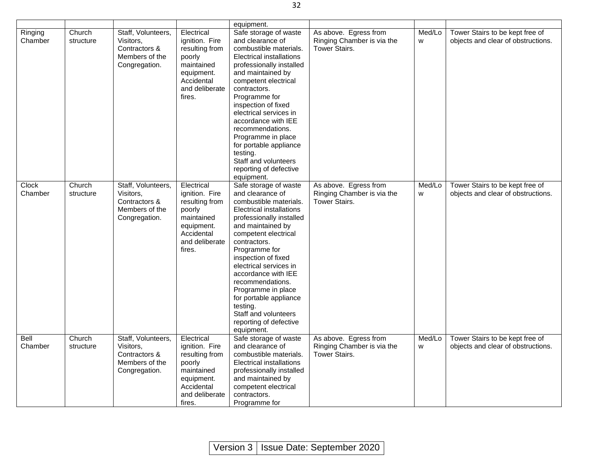|                    |                     |                                                                                     |                                                                                                                                | equipment.                                                                                                                                                                                                                                                                                                                                                                                                                        |                                                                             |             |                                                                       |
|--------------------|---------------------|-------------------------------------------------------------------------------------|--------------------------------------------------------------------------------------------------------------------------------|-----------------------------------------------------------------------------------------------------------------------------------------------------------------------------------------------------------------------------------------------------------------------------------------------------------------------------------------------------------------------------------------------------------------------------------|-----------------------------------------------------------------------------|-------------|-----------------------------------------------------------------------|
| Ringing<br>Chamber | Church<br>structure | Staff, Volunteers,<br>Visitors,<br>Contractors &<br>Members of the<br>Congregation. | Electrical<br>ignition. Fire<br>resulting from<br>poorly<br>maintained<br>equipment.<br>Accidental<br>and deliberate<br>fires. | Safe storage of waste<br>and clearance of<br>combustible materials.<br>Electrical installations<br>professionally installed<br>and maintained by<br>competent electrical<br>contractors.<br>Programme for<br>inspection of fixed<br>electrical services in<br>accordance with IEE<br>recommendations.<br>Programme in place<br>for portable appliance<br>testing.<br>Staff and volunteers<br>reporting of defective<br>equipment. | As above. Egress from<br>Ringing Chamber is via the<br><b>Tower Stairs.</b> | Med/Lo<br>W | Tower Stairs to be kept free of<br>objects and clear of obstructions. |
| Clock<br>Chamber   | Church<br>structure | Staff, Volunteers,<br>Visitors,<br>Contractors &<br>Members of the<br>Congregation. | Electrical<br>ignition. Fire<br>resulting from<br>poorly<br>maintained<br>equipment.<br>Accidental<br>and deliberate<br>fires. | Safe storage of waste<br>and clearance of<br>combustible materials.<br>Electrical installations<br>professionally installed<br>and maintained by<br>competent electrical<br>contractors.<br>Programme for<br>inspection of fixed<br>electrical services in<br>accordance with IEE<br>recommendations.<br>Programme in place<br>for portable appliance<br>testing.<br>Staff and volunteers<br>reporting of defective<br>equipment. | As above. Egress from<br>Ringing Chamber is via the<br><b>Tower Stairs.</b> | Med/Lo<br>W | Tower Stairs to be kept free of<br>objects and clear of obstructions. |
| Bell<br>Chamber    | Church<br>structure | Staff, Volunteers,<br>Visitors,<br>Contractors &<br>Members of the<br>Congregation. | Electrical<br>ignition. Fire<br>resulting from<br>poorly<br>maintained<br>equipment.<br>Accidental<br>and deliberate<br>fires. | Safe storage of waste<br>and clearance of<br>combustible materials.<br>Electrical installations<br>professionally installed<br>and maintained by<br>competent electrical<br>contractors.<br>Programme for                                                                                                                                                                                                                         | As above. Egress from<br>Ringing Chamber is via the<br><b>Tower Stairs.</b> | Med/Lo<br>W | Tower Stairs to be kept free of<br>objects and clear of obstructions. |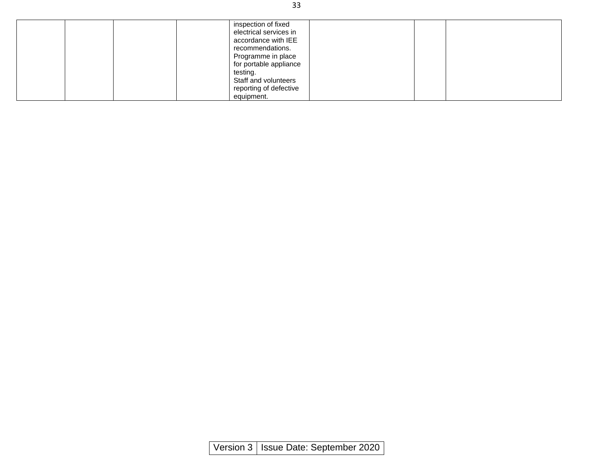|  | inspection of fixed<br>electrical services in<br>accordance with IEE<br>recommendations. |  |
|--|------------------------------------------------------------------------------------------|--|
|  | Programme in place<br>for portable appliance                                             |  |
|  | testing.                                                                                 |  |
|  | Staff and volunteers                                                                     |  |
|  | reporting of defective<br>equipment.                                                     |  |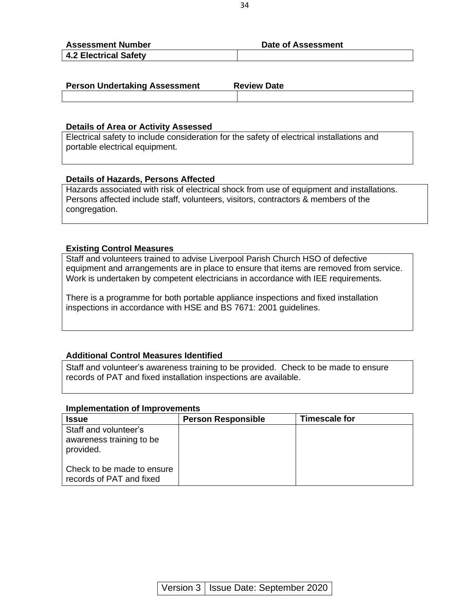| <b>Assessment Number</b>     | <b>Date of Assessment</b> |
|------------------------------|---------------------------|
| <b>4.2 Electrical Safety</b> |                           |

| <b>Person Undertaking Assessment</b> | <b>Review Date</b> |
|--------------------------------------|--------------------|
|                                      |                    |

#### **Details of Area or Activity Assessed**

Electrical safety to include consideration for the safety of electrical installations and portable electrical equipment.

#### **Details of Hazards, Persons Affected**

Hazards associated with risk of electrical shock from use of equipment and installations. Persons affected include staff, volunteers, visitors, contractors & members of the congregation.

#### **Existing Control Measures**

Staff and volunteers trained to advise Liverpool Parish Church HSO of defective equipment and arrangements are in place to ensure that items are removed from service. Work is undertaken by competent electricians in accordance with IEE requirements.

There is a programme for both portable appliance inspections and fixed installation inspections in accordance with HSE and BS 7671: 2001 guidelines.

#### **Additional Control Measures Identified**

Staff and volunteer's awareness training to be provided. Check to be made to ensure records of PAT and fixed installation inspections are available.

| <b>Issue</b>                                                   | <b>Person Responsible</b> | <b>Timescale for</b> |
|----------------------------------------------------------------|---------------------------|----------------------|
| Staff and volunteer's<br>awareness training to be<br>provided. |                           |                      |
| Check to be made to ensure<br>records of PAT and fixed         |                           |                      |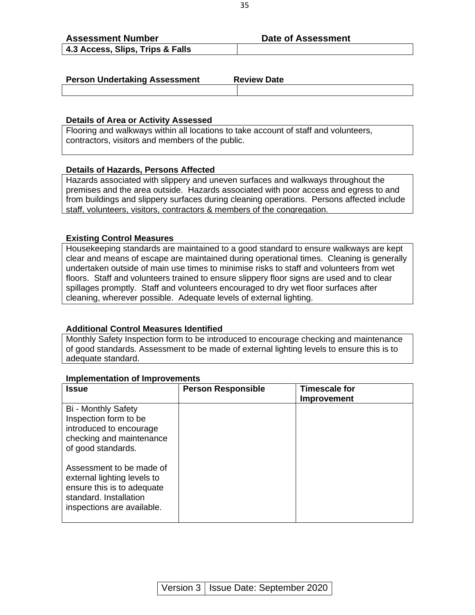| <b>Assessment Number</b>         | <b>Date of Assessment</b> |
|----------------------------------|---------------------------|
| 4.3 Access, Slips, Trips & Falls |                           |

| <b>Person Undertaking Assessment</b> | <b>Review Date</b> |
|--------------------------------------|--------------------|
|                                      |                    |

#### **Details of Area or Activity Assessed**

Flooring and walkways within all locations to take account of staff and volunteers, contractors, visitors and members of the public.

#### **Details of Hazards, Persons Affected**

Hazards associated with slippery and uneven surfaces and walkways throughout the premises and the area outside. Hazards associated with poor access and egress to and from buildings and slippery surfaces during cleaning operations. Persons affected include staff, volunteers, visitors, contractors & members of the congregation.

#### **Existing Control Measures**

Housekeeping standards are maintained to a good standard to ensure walkways are kept clear and means of escape are maintained during operational times. Cleaning is generally undertaken outside of main use times to minimise risks to staff and volunteers from wet floors. Staff and volunteers trained to ensure slippery floor signs are used and to clear spillages promptly. Staff and volunteers encouraged to dry wet floor surfaces after cleaning, wherever possible. Adequate levels of external lighting.

#### **Additional Control Measures Identified**

Monthly Safety Inspection form to be introduced to encourage checking and maintenance of good standards. Assessment to be made of external lighting levels to ensure this is to adequate standard.

| <b>Issue</b>                                                                                                                                  | <b>Person Responsible</b> | <b>Timescale for</b><br>Improvement |
|-----------------------------------------------------------------------------------------------------------------------------------------------|---------------------------|-------------------------------------|
| Bi - Monthly Safety<br>Inspection form to be<br>introduced to encourage<br>checking and maintenance<br>of good standards.                     |                           |                                     |
| Assessment to be made of<br>external lighting levels to<br>ensure this is to adequate<br>standard. Installation<br>inspections are available. |                           |                                     |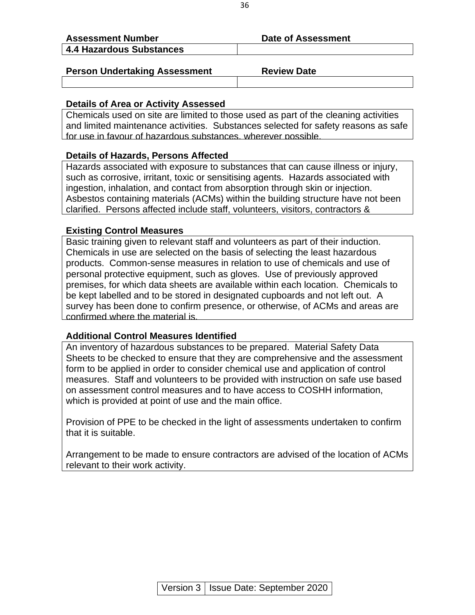| <b>Assessment Number</b> | Date of Assessment |
|--------------------------|--------------------|
| 4.4 Hazardous Substances |                    |
|                          |                    |

## **Person Undertaking Assessment Fig. 2.1 Review Date**

#### **Details of Area or Activity Assessed**

Chemicals used on site are limited to those used as part of the cleaning activities and limited maintenance activities. Substances selected for safety reasons as safe for use in favour of hazardous substances, wherever possible.

#### **Details of Hazards, Persons Affected**

Hazards associated with exposure to substances that can cause illness or injury, such as corrosive, irritant, toxic or sensitising agents. Hazards associated with ingestion, inhalation, and contact from absorption through skin or injection. Asbestos containing materials (ACMs) within the building structure have not been clarified. Persons affected include staff, volunteers, visitors, contractors &

#### **Existing Control Measures**

Basic training given to relevant staff and volunteers as part of their induction. Chemicals in use are selected on the basis of selecting the least hazardous products. Common-sense measures in relation to use of chemicals and use of personal protective equipment, such as gloves. Use of previously approved premises, for which data sheets are available within each location. Chemicals to be kept labelled and to be stored in designated cupboards and not left out. A survey has been done to confirm presence, or otherwise, of ACMs and areas are confirmed where the material is.

#### **Additional Control Measures Identified**

An inventory of hazardous substances to be prepared. Material Safety Data Sheets to be checked to ensure that they are comprehensive and the assessment form to be applied in order to consider chemical use and application of control measures. Staff and volunteers to be provided with instruction on safe use based on assessment control measures and to have access to COSHH information, which is provided at point of use and the main office.

Provision of PPE to be checked in the light of assessments undertaken to confirm that it is suitable.

Arrangement to be made to ensure contractors are advised of the location of ACMs relevant to their work activity.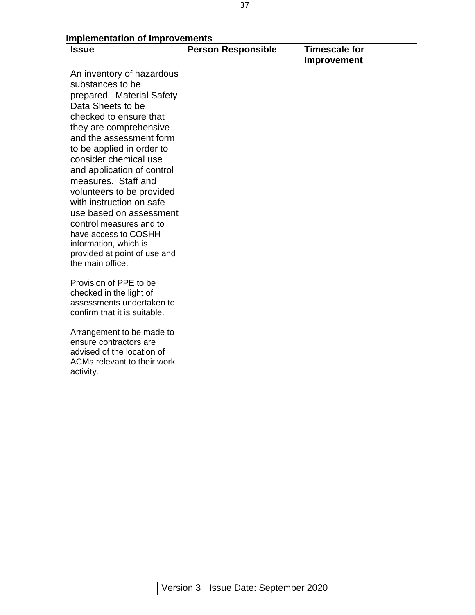| <b>Issue</b>                                                                                                                                                                                                                                                                                                                                                                                                                                                                                                                                                                                                                    | <b>Person Responsible</b> | <b>Timescale for</b><br>Improvement |
|---------------------------------------------------------------------------------------------------------------------------------------------------------------------------------------------------------------------------------------------------------------------------------------------------------------------------------------------------------------------------------------------------------------------------------------------------------------------------------------------------------------------------------------------------------------------------------------------------------------------------------|---------------------------|-------------------------------------|
| An inventory of hazardous<br>substances to be<br>prepared. Material Safety<br>Data Sheets to be<br>checked to ensure that<br>they are comprehensive<br>and the assessment form<br>to be applied in order to<br>consider chemical use<br>and application of control<br>measures. Staff and<br>volunteers to be provided<br>with instruction on safe<br>use based on assessment<br>control measures and to<br>have access to COSHH<br>information, which is<br>provided at point of use and<br>the main office.<br>Provision of PPE to be<br>checked in the light of<br>assessments undertaken to<br>confirm that it is suitable. |                           |                                     |
| Arrangement to be made to<br>ensure contractors are<br>advised of the location of<br>ACMs relevant to their work<br>activity.                                                                                                                                                                                                                                                                                                                                                                                                                                                                                                   |                           |                                     |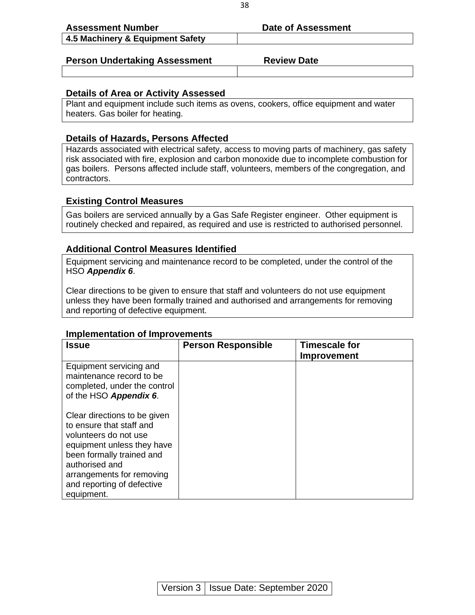| <b>Assessment Number</b>             | Date of Assessment |
|--------------------------------------|--------------------|
| 4.5 Machinery & Equipment Safety     |                    |
|                                      |                    |
| <b>Person Undertaking Assessment</b> | <b>Review Date</b> |
|                                      |                    |

#### **Details of Area or Activity Assessed**

Plant and equipment include such items as ovens, cookers, office equipment and water heaters. Gas boiler for heating.

#### **Details of Hazards, Persons Affected**

Hazards associated with electrical safety, access to moving parts of machinery, gas safety risk associated with fire, explosion and carbon monoxide due to incomplete combustion for gas boilers. Persons affected include staff, volunteers, members of the congregation, and contractors.

#### **Existing Control Measures**

Gas boilers are serviced annually by a Gas Safe Register engineer. Other equipment is routinely checked and repaired, as required and use is restricted to authorised personnel.

#### **Additional Control Measures Identified**

Equipment servicing and maintenance record to be completed, under the control of the HSO *Appendix 6*.

Clear directions to be given to ensure that staff and volunteers do not use equipment unless they have been formally trained and authorised and arrangements for removing and reporting of defective equipment.

| <b>Issue</b>                                                                                                                                                                                                                            | <b>Person Responsible</b> | <b>Timescale for</b><br><b>Improvement</b> |
|-----------------------------------------------------------------------------------------------------------------------------------------------------------------------------------------------------------------------------------------|---------------------------|--------------------------------------------|
| Equipment servicing and<br>maintenance record to be<br>completed, under the control<br>of the HSO Appendix 6.                                                                                                                           |                           |                                            |
| Clear directions to be given<br>to ensure that staff and<br>volunteers do not use<br>equipment unless they have<br>been formally trained and<br>authorised and<br>arrangements for removing<br>and reporting of defective<br>equipment. |                           |                                            |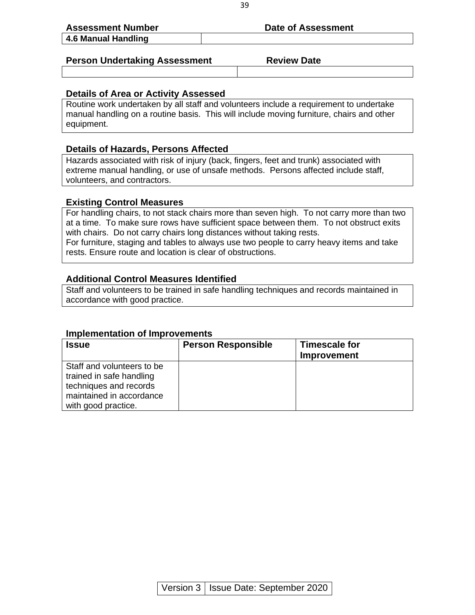| <b>Assessment Number</b>             | Date of Assessment |  |
|--------------------------------------|--------------------|--|
| 4.6 Manual Handling                  |                    |  |
|                                      |                    |  |
| <b>Person Undertaking Assessment</b> | <b>Review Date</b> |  |

#### **Details of Area or Activity Assessed**

Routine work undertaken by all staff and volunteers include a requirement to undertake manual handling on a routine basis. This will include moving furniture, chairs and other equipment.

#### **Details of Hazards, Persons Affected**

Hazards associated with risk of injury (back, fingers, feet and trunk) associated with extreme manual handling, or use of unsafe methods. Persons affected include staff, volunteers, and contractors.

#### **Existing Control Measures**

For handling chairs, to not stack chairs more than seven high. To not carry more than two at a time. To make sure rows have sufficient space between them. To not obstruct exits with chairs. Do not carry chairs long distances without taking rests.

For furniture, staging and tables to always use two people to carry heavy items and take rests. Ensure route and location is clear of obstructions.

#### **Additional Control Measures Identified**

Staff and volunteers to be trained in safe handling techniques and records maintained in accordance with good practice.

| <b>Issue</b>                                                                                                                        | <b>Person Responsible</b> | <b>Timescale for</b><br>Improvement |
|-------------------------------------------------------------------------------------------------------------------------------------|---------------------------|-------------------------------------|
| Staff and volunteers to be<br>trained in safe handling<br>techniques and records<br>maintained in accordance<br>with good practice. |                           |                                     |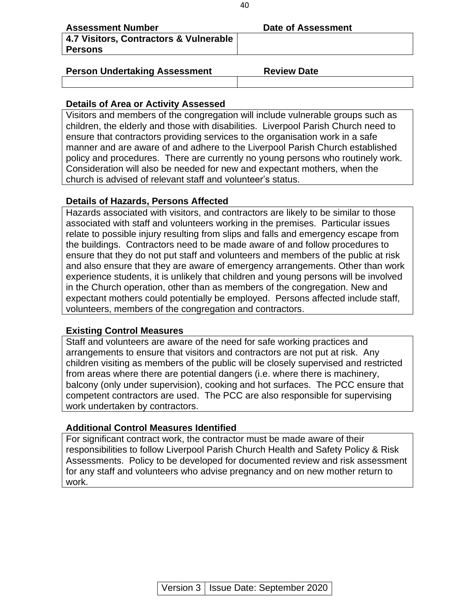| <b>Assessment Number</b>                                 | Date of Assessment |
|----------------------------------------------------------|--------------------|
| 4.7 Visitors, Contractors & Vulnerable<br><b>Persons</b> |                    |
|                                                          |                    |

#### **Person Undertaking Assessment Fig. 2.1 Review Date**

### **Details of Area or Activity Assessed**

Visitors and members of the congregation will include vulnerable groups such as children, the elderly and those with disabilities. Liverpool Parish Church need to ensure that contractors providing services to the organisation work in a safe manner and are aware of and adhere to the Liverpool Parish Church established policy and procedures. There are currently no young persons who routinely work. Consideration will also be needed for new and expectant mothers, when the church is advised of relevant staff and volunteer's status.

# **Details of Hazards, Persons Affected**

Hazards associated with visitors, and contractors are likely to be similar to those associated with staff and volunteers working in the premises. Particular issues relate to possible injury resulting from slips and falls and emergency escape from the buildings. Contractors need to be made aware of and follow procedures to ensure that they do not put staff and volunteers and members of the public at risk and also ensure that they are aware of emergency arrangements. Other than work experience students, it is unlikely that children and young persons will be involved in the Church operation, other than as members of the congregation. New and expectant mothers could potentially be employed. Persons affected include staff, volunteers, members of the congregation and contractors.

## **Existing Control Measures**

Staff and volunteers are aware of the need for safe working practices and arrangements to ensure that visitors and contractors are not put at risk. Any children visiting as members of the public will be closely supervised and restricted from areas where there are potential dangers (i.e. where there is machinery, balcony (only under supervision), cooking and hot surfaces. The PCC ensure that competent contractors are used. The PCC are also responsible for supervising work undertaken by contractors.

## **Additional Control Measures Identified**

For significant contract work, the contractor must be made aware of their responsibilities to follow Liverpool Parish Church Health and Safety Policy & Risk Assessments. Policy to be developed for documented review and risk assessment for any staff and volunteers who advise pregnancy and on new mother return to work.

40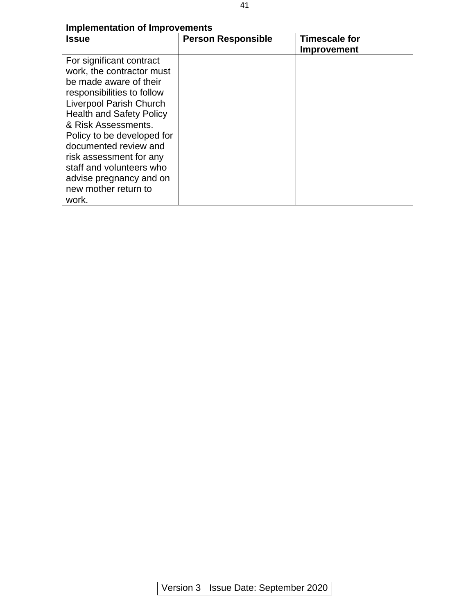| <b>Issue</b>                    | <b>Person Responsible</b> | <b>Timescale for</b><br>Improvement |
|---------------------------------|---------------------------|-------------------------------------|
| For significant contract        |                           |                                     |
| work, the contractor must       |                           |                                     |
| be made aware of their          |                           |                                     |
| responsibilities to follow      |                           |                                     |
| <b>Liverpool Parish Church</b>  |                           |                                     |
| <b>Health and Safety Policy</b> |                           |                                     |
| & Risk Assessments.             |                           |                                     |
| Policy to be developed for      |                           |                                     |
| documented review and           |                           |                                     |
| risk assessment for any         |                           |                                     |
| staff and volunteers who        |                           |                                     |
| advise pregnancy and on         |                           |                                     |
| new mother return to            |                           |                                     |
| work.                           |                           |                                     |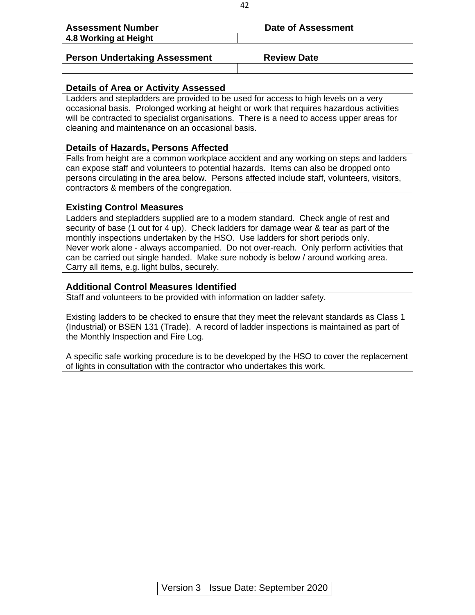| <b>Assessment Number</b>             | Date of Assessment |
|--------------------------------------|--------------------|
| 4.8 Working at Height                |                    |
|                                      |                    |
| <b>Person Undertaking Assessment</b> | <b>Review Date</b> |

#### **Details of Area or Activity Assessed**

Ladders and stepladders are provided to be used for access to high levels on a very occasional basis. Prolonged working at height or work that requires hazardous activities will be contracted to specialist organisations. There is a need to access upper areas for cleaning and maintenance on an occasional basis.

#### **Details of Hazards, Persons Affected**

Falls from height are a common workplace accident and any working on steps and ladders can expose staff and volunteers to potential hazards. Items can also be dropped onto persons circulating in the area below. Persons affected include staff, volunteers, visitors, contractors & members of the congregation.

#### **Existing Control Measures**

Ladders and stepladders supplied are to a modern standard. Check angle of rest and security of base (1 out for 4 up). Check ladders for damage wear & tear as part of the monthly inspections undertaken by the HSO. Use ladders for short periods only. Never work alone - always accompanied. Do not over-reach. Only perform activities that can be carried out single handed. Make sure nobody is below / around working area. Carry all items, e.g. light bulbs, securely.

#### **Additional Control Measures Identified**

Staff and volunteers to be provided with information on ladder safety.

Existing ladders to be checked to ensure that they meet the relevant standards as Class 1 (Industrial) or BSEN 131 (Trade). A record of ladder inspections is maintained as part of the Monthly Inspection and Fire Log.

A specific safe working procedure is to be developed by the HSO to cover the replacement of lights in consultation with the contractor who undertakes this work.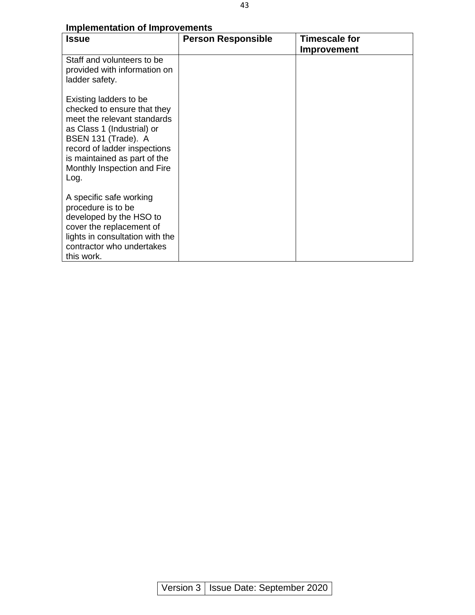| <b>Issue</b>                                                                                                                                                                                                                                     | <b>Person Responsible</b> | <b>Timescale for</b><br><b>Improvement</b> |
|--------------------------------------------------------------------------------------------------------------------------------------------------------------------------------------------------------------------------------------------------|---------------------------|--------------------------------------------|
| Staff and volunteers to be<br>provided with information on<br>ladder safety.                                                                                                                                                                     |                           |                                            |
| Existing ladders to be<br>checked to ensure that they<br>meet the relevant standards<br>as Class 1 (Industrial) or<br>BSEN 131 (Trade). A<br>record of ladder inspections<br>is maintained as part of the<br>Monthly Inspection and Fire<br>Log. |                           |                                            |
| A specific safe working<br>procedure is to be<br>developed by the HSO to<br>cover the replacement of<br>lights in consultation with the<br>contractor who undertakes<br>this work.                                                               |                           |                                            |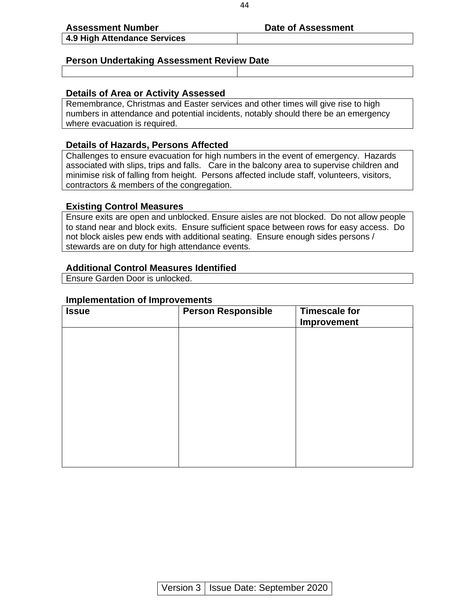#### Assessment Number **Date of Assessment**

#### **Person Undertaking Assessment Review Date**

#### **Details of Area or Activity Assessed**

Remembrance, Christmas and Easter services and other times will give rise to high numbers in attendance and potential incidents, notably should there be an emergency where evacuation is required.

#### **Details of Hazards, Persons Affected**

Challenges to ensure evacuation for high numbers in the event of emergency. Hazards associated with slips, trips and falls. Care in the balcony area to supervise children and minimise risk of falling from height. Persons affected include staff, volunteers, visitors, contractors & members of the congregation.

#### **Existing Control Measures**

Ensure exits are open and unblocked. Ensure aisles are not blocked. Do not allow people to stand near and block exits. Ensure sufficient space between rows for easy access. Do not block aisles pew ends with additional seating. Ensure enough sides persons / stewards are on duty for high attendance events.

#### **Additional Control Measures Identified**

Ensure Garden Door is unlocked.

#### **Implementation of Improvements**

| <b>Issue</b> | <b>Person Responsible</b> | <b>Timescale for</b><br>Improvement |
|--------------|---------------------------|-------------------------------------|
|              |                           |                                     |
|              |                           |                                     |
|              |                           |                                     |
|              |                           |                                     |
|              |                           |                                     |
|              |                           |                                     |
|              |                           |                                     |

44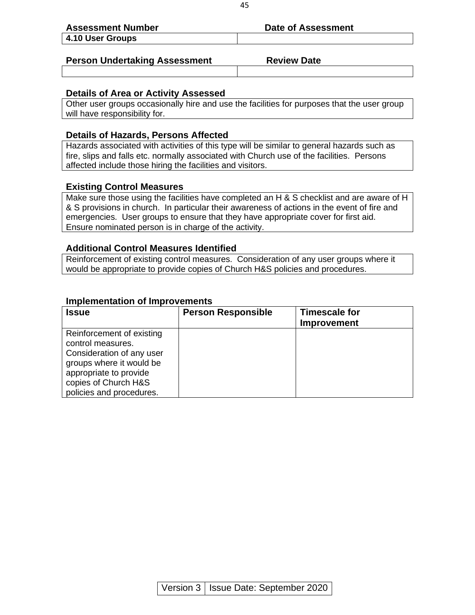| <b>Assessment Number</b>             | Date of Assessment |
|--------------------------------------|--------------------|
| 4.10 User Groups                     |                    |
|                                      |                    |
| <b>Person Undertaking Assessment</b> | <b>Review Date</b> |

#### **Details of Area or Activity Assessed**

Other user groups occasionally hire and use the facilities for purposes that the user group will have responsibility for.

#### **Details of Hazards, Persons Affected**

Hazards associated with activities of this type will be similar to general hazards such as fire, slips and falls etc. normally associated with Church use of the facilities. Persons affected include those hiring the facilities and visitors.

#### **Existing Control Measures**

Make sure those using the facilities have completed an H & S checklist and are aware of H & S provisions in church. In particular their awareness of actions in the event of fire and emergencies. User groups to ensure that they have appropriate cover for first aid. Ensure nominated person is in charge of the activity.

#### **Additional Control Measures Identified**

Reinforcement of existing control measures. Consideration of any user groups where it would be appropriate to provide copies of Church H&S policies and procedures.

| <b>Implementation of Improvements</b>                                                                                                                                                 |                           |                                            |
|---------------------------------------------------------------------------------------------------------------------------------------------------------------------------------------|---------------------------|--------------------------------------------|
| <b>Issue</b>                                                                                                                                                                          | <b>Person Responsible</b> | <b>Timescale for</b><br><b>Improvement</b> |
| Reinforcement of existing<br>control measures.<br>Consideration of any user<br>groups where it would be<br>appropriate to provide<br>copies of Church H&S<br>policies and procedures. |                           |                                            |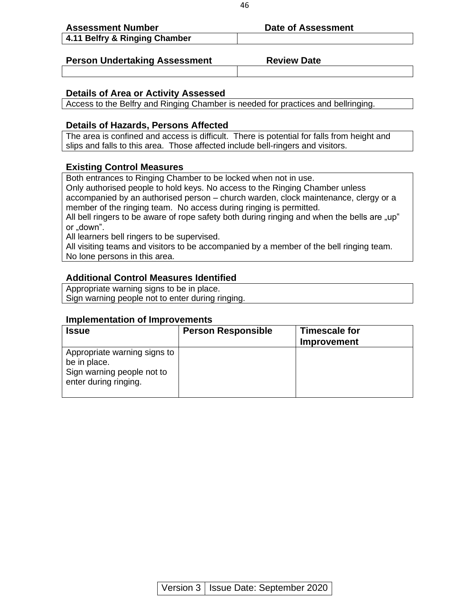| <b>Assessment Number</b>      | Date of Assessment |
|-------------------------------|--------------------|
| 4.11 Belfry & Ringing Chamber |                    |
|                               |                    |

#### **Person Undertaking Assessment Fig. 2.1 Review Date**

#### **Details of Area or Activity Assessed**

Access to the Belfry and Ringing Chamber is needed for practices and bellringing.

#### **Details of Hazards, Persons Affected**

The area is confined and access is difficult. There is potential for falls from height and slips and falls to this area. Those affected include bell-ringers and visitors.

#### **Existing Control Measures**

Both entrances to Ringing Chamber to be locked when not in use.

Only authorised people to hold keys. No access to the Ringing Chamber unless accompanied by an authorised person – church warden, clock maintenance, clergy or a member of the ringing team. No access during ringing is permitted.

All bell ringers to be aware of rope safety both during ringing and when the bells are "up" or .down".

All learners bell ringers to be supervised.

All visiting teams and visitors to be accompanied by a member of the bell ringing team. No lone persons in this area.

### **Additional Control Measures Identified**

Appropriate warning signs to be in place. Sign warning people not to enter during ringing.

| <b>Issue</b>                                                                                        | <b>Person Responsible</b> | <b>Timescale for</b><br><b>Improvement</b> |
|-----------------------------------------------------------------------------------------------------|---------------------------|--------------------------------------------|
| Appropriate warning signs to<br>be in place.<br>Sign warning people not to<br>enter during ringing. |                           |                                            |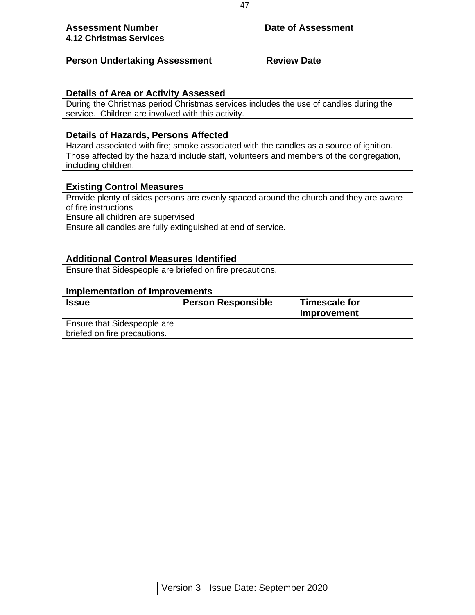| <b>Assessment Number</b>             | Date of Assessment |
|--------------------------------------|--------------------|
| 4.12 Christmas Services              |                    |
|                                      |                    |
| <b>Person Undertaking Assessment</b> | <b>Review Date</b> |

#### **Details of Area or Activity Assessed**

During the Christmas period Christmas services includes the use of candles during the service. Children are involved with this activity.

#### **Details of Hazards, Persons Affected**

Hazard associated with fire; smoke associated with the candles as a source of ignition. Those affected by the hazard include staff, volunteers and members of the congregation, including children.

#### **Existing Control Measures**

Provide plenty of sides persons are evenly spaced around the church and they are aware of fire instructions Ensure all children are supervised

Ensure all candles are fully extinguished at end of service.

#### **Additional Control Measures Identified**

Ensure that Sidespeople are briefed on fire precautions.

| <b>Issue</b>                 | <b>Person Responsible</b> | Timescale for<br>Improvement |
|------------------------------|---------------------------|------------------------------|
| Ensure that Sidespeople are  |                           |                              |
| briefed on fire precautions. |                           |                              |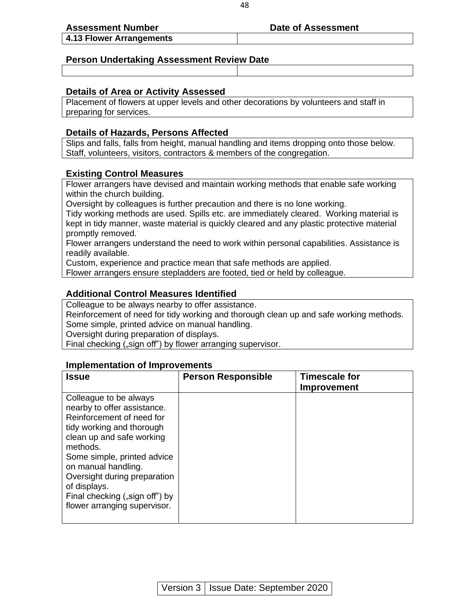#### **Assessment Number Date of Assessment**

**4.13 Flower Arrangements** 

#### **Person Undertaking Assessment Review Date**

#### **Details of Area or Activity Assessed**

Placement of flowers at upper levels and other decorations by volunteers and staff in preparing for services.

#### **Details of Hazards, Persons Affected**

Slips and falls, falls from height, manual handling and items dropping onto those below. Staff, volunteers, visitors, contractors & members of the congregation.

#### **Existing Control Measures**

Flower arrangers have devised and maintain working methods that enable safe working within the church building.

Oversight by colleagues is further precaution and there is no lone working.

Tidy working methods are used. Spills etc. are immediately cleared. Working material is kept in tidy manner, waste material is quickly cleared and any plastic protective material promptly removed.

Flower arrangers understand the need to work within personal capabilities. Assistance is readily available.

Custom, experience and practice mean that safe methods are applied.

Flower arrangers ensure stepladders are footed, tied or held by colleague.

#### **Additional Control Measures Identified**

Colleague to be always nearby to offer assistance. Reinforcement of need for tidy working and thorough clean up and safe working methods. Some simple, printed advice on manual handling. Oversight during preparation of displays. Final checking ("sign off") by flower arranging supervisor.

| Issue                                                                                                                                                                                                                                                                                                                            | <b>Person Responsible</b> | <b>Timescale for</b><br><b>Improvement</b> |
|----------------------------------------------------------------------------------------------------------------------------------------------------------------------------------------------------------------------------------------------------------------------------------------------------------------------------------|---------------------------|--------------------------------------------|
| Colleague to be always<br>nearby to offer assistance.<br>Reinforcement of need for<br>tidy working and thorough<br>clean up and safe working<br>methods.<br>Some simple, printed advice<br>on manual handling.<br>Oversight during preparation<br>of displays.<br>Final checking ("sign off") by<br>flower arranging supervisor. |                           |                                            |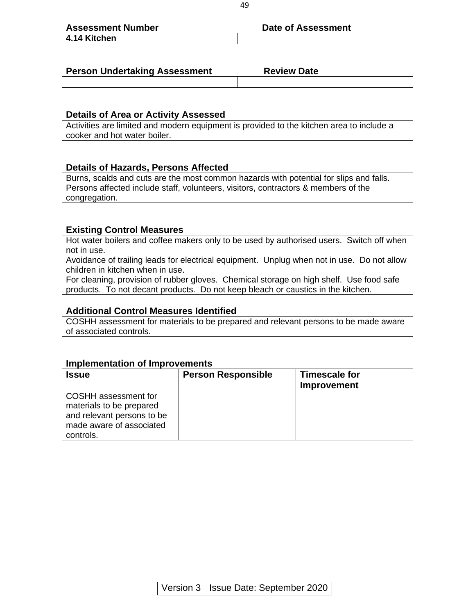| <b>Assessment Number</b> | <b>Date of Assessment</b> |
|--------------------------|---------------------------|
| 4.14 Kitchen             |                           |

| <b>Person Undertaking Assessment</b> | <b>Review Date</b> |  |
|--------------------------------------|--------------------|--|
|                                      |                    |  |

#### **Details of Area or Activity Assessed**

Activities are limited and modern equipment is provided to the kitchen area to include a cooker and hot water boiler.

#### **Details of Hazards, Persons Affected**

Burns, scalds and cuts are the most common hazards with potential for slips and falls. Persons affected include staff, volunteers, visitors, contractors & members of the congregation.

#### **Existing Control Measures**

Hot water boilers and coffee makers only to be used by authorised users. Switch off when not in use.

Avoidance of trailing leads for electrical equipment. Unplug when not in use. Do not allow children in kitchen when in use.

For cleaning, provision of rubber gloves. Chemical storage on high shelf. Use food safe products. To not decant products. Do not keep bleach or caustics in the kitchen.

#### **Additional Control Measures Identified**

COSHH assessment for materials to be prepared and relevant persons to be made aware of associated controls.

| <b>Issue</b>                                                                                                            | <b>Person Responsible</b> | <b>Timescale for</b><br>Improvement |
|-------------------------------------------------------------------------------------------------------------------------|---------------------------|-------------------------------------|
| COSHH assessment for<br>materials to be prepared<br>and relevant persons to be<br>made aware of associated<br>controls. |                           |                                     |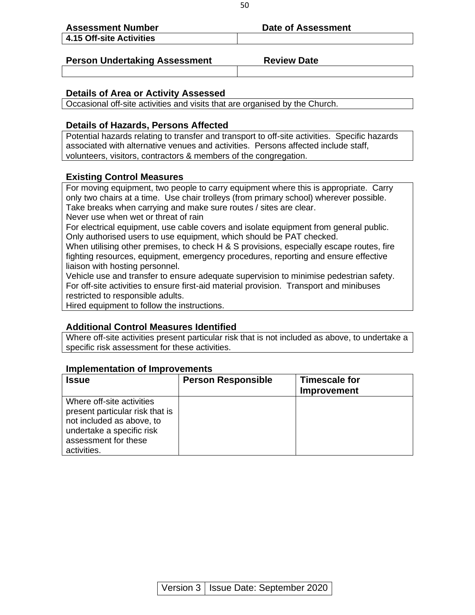| <b>Assessment Number</b>             | Date of Assessment |
|--------------------------------------|--------------------|
| 4.15 Off-site Activities             |                    |
|                                      |                    |
| <b>Person Undertaking Assessment</b> | <b>Review Date</b> |

#### **Details of Area or Activity Assessed**

Occasional off-site activities and visits that are organised by the Church.

#### **Details of Hazards, Persons Affected**

Potential hazards relating to transfer and transport to off-site activities. Specific hazards associated with alternative venues and activities. Persons affected include staff, volunteers, visitors, contractors & members of the congregation.

#### **Existing Control Measures**

For moving equipment, two people to carry equipment where this is appropriate. Carry only two chairs at a time. Use chair trolleys (from primary school) wherever possible. Take breaks when carrying and make sure routes / sites are clear.

Never use when wet or threat of rain

For electrical equipment, use cable covers and isolate equipment from general public. Only authorised users to use equipment, which should be PAT checked.

When utilising other premises, to check H & S provisions, especially escape routes, fire fighting resources, equipment, emergency procedures, reporting and ensure effective liaison with hosting personnel.

Vehicle use and transfer to ensure adequate supervision to minimise pedestrian safety. For off-site activities to ensure first-aid material provision. Transport and minibuses restricted to responsible adults.

Hired equipment to follow the instructions.

#### **Additional Control Measures Identified**

Where off-site activities present particular risk that is not included as above, to undertake a specific risk assessment for these activities.

| <b>Issue</b>                                                                                                                                                  | <b>Person Responsible</b> | <b>Timescale for</b><br><b>Improvement</b> |
|---------------------------------------------------------------------------------------------------------------------------------------------------------------|---------------------------|--------------------------------------------|
| Where off-site activities<br>present particular risk that is<br>not included as above, to<br>undertake a specific risk<br>assessment for these<br>activities. |                           |                                            |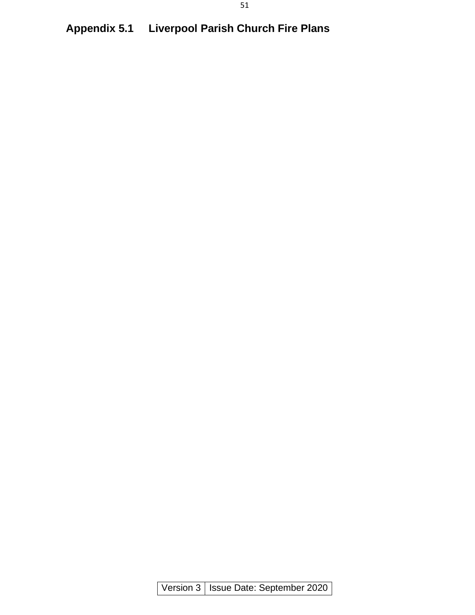# **Appendix 5.1 Liverpool Parish Church Fire Plans**

Version 3 | Issue Date: September 2020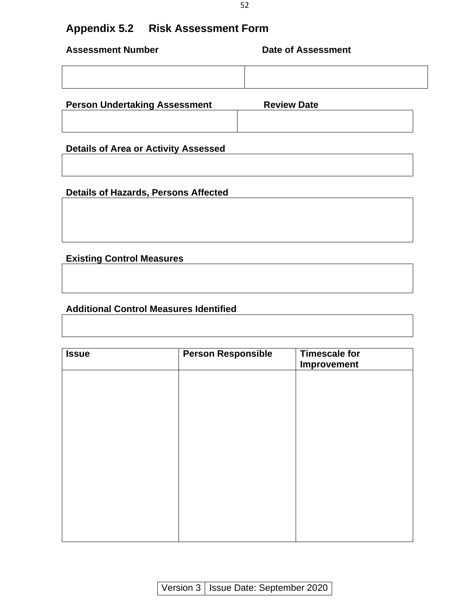# **Appendix 5.2 Risk Assessment Form**

| <b>Assessment Number</b>             | <b>Date of Assessment</b> |
|--------------------------------------|---------------------------|
|                                      |                           |
| <b>Person Undertaking Assessment</b> | <b>Review Date</b>        |

**Details of Area or Activity Assessed** 

**Details of Hazards, Persons Affected**

**Existing Control Measures**

#### **Additional Control Measures Identified**

| <b>Issue</b> | <b>Person Responsible</b> | <b>Timescale for</b><br><b>Improvement</b> |
|--------------|---------------------------|--------------------------------------------|
|              |                           |                                            |
|              |                           |                                            |
|              |                           |                                            |
|              |                           |                                            |
|              |                           |                                            |
|              |                           |                                            |
|              |                           |                                            |
|              |                           |                                            |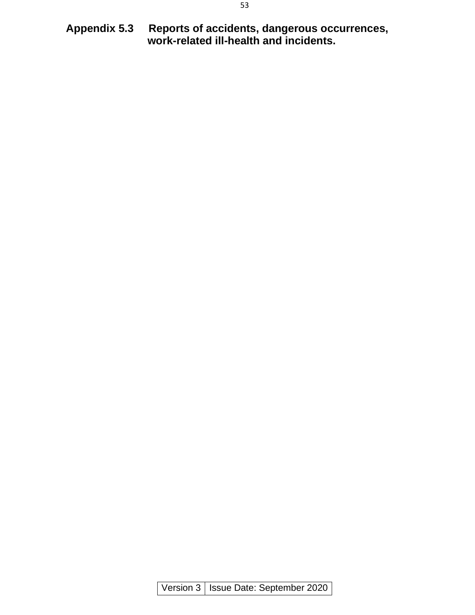**Appendix 5.3 Reports of accidents, dangerous occurrences, work-related ill-health and incidents.**

Version 3 | Issue Date: September 2020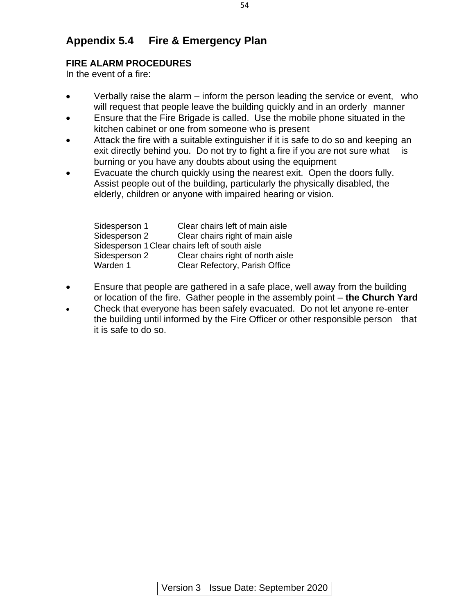# **Appendix 5.4 Fire & Emergency Plan**

### **FIRE ALARM PROCEDURES**

In the event of a fire:

- Verbally raise the alarm inform the person leading the service or event, who will request that people leave the building quickly and in an orderly manner
- Ensure that the Fire Brigade is called. Use the mobile phone situated in the kitchen cabinet or one from someone who is present
- Attack the fire with a suitable extinguisher if it is safe to do so and keeping an exit directly behind you. Do not try to fight a fire if you are not sure what is burning or you have any doubts about using the equipment
- Evacuate the church quickly using the nearest exit. Open the doors fully. Assist people out of the building, particularly the physically disabled, the elderly, children or anyone with impaired hearing or vision.

| Sidesperson 1 | Clear chairs left of main aisle                |
|---------------|------------------------------------------------|
| Sidesperson 2 | Clear chairs right of main aisle               |
|               | Sidesperson 1 Clear chairs left of south aisle |
| Sidesperson 2 | Clear chairs right of north aisle              |
| Warden 1      | Clear Refectory, Parish Office                 |

- Ensure that people are gathered in a safe place, well away from the building or location of the fire. Gather people in the assembly point – **the Church Yard**
- Check that everyone has been safely evacuated. Do not let anyone re-enter the building until informed by the Fire Officer or other responsible person that it is safe to do so.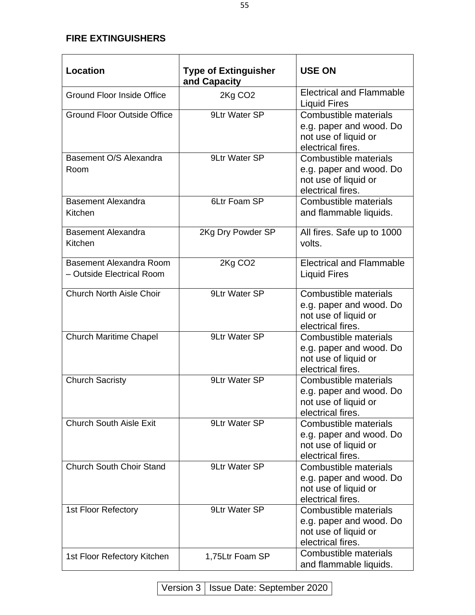#### **FIRE EXTINGUISHERS**

| <b>Location</b>                                      | <b>Type of Extinguisher</b><br>and Capacity | <b>USE ON</b>                                                                                 |
|------------------------------------------------------|---------------------------------------------|-----------------------------------------------------------------------------------------------|
| <b>Ground Floor Inside Office</b>                    | 2Kg CO <sub>2</sub>                         | <b>Electrical and Flammable</b><br><b>Liquid Fires</b>                                        |
| <b>Ground Floor Outside Office</b>                   | 9Ltr Water SP                               | Combustible materials<br>e.g. paper and wood. Do<br>not use of liquid or<br>electrical fires. |
| Basement O/S Alexandra<br>Room                       | 9Ltr Water SP                               | Combustible materials<br>e.g. paper and wood. Do<br>not use of liquid or<br>electrical fires. |
| <b>Basement Alexandra</b><br>Kitchen                 | 6Ltr Foam SP                                | Combustible materials<br>and flammable liquids.                                               |
| <b>Basement Alexandra</b><br>Kitchen                 | 2Kg Dry Powder SP                           | All fires. Safe up to 1000<br>volts.                                                          |
| Basement Alexandra Room<br>- Outside Electrical Room | 2Kg CO <sub>2</sub>                         | <b>Electrical and Flammable</b><br><b>Liquid Fires</b>                                        |
| Church North Aisle Choir                             | 9Ltr Water SP                               | Combustible materials<br>e.g. paper and wood. Do<br>not use of liquid or<br>electrical fires. |
| <b>Church Maritime Chapel</b>                        | 9Ltr Water SP                               | Combustible materials<br>e.g. paper and wood. Do<br>not use of liquid or<br>electrical fires. |
| <b>Church Sacristy</b>                               | 9Ltr Water SP                               | Combustible materials<br>e.g. paper and wood. Do<br>not use of liquid or<br>electrical fires. |
| <b>Church South Aisle Exit</b>                       | 9Ltr Water SP                               | Combustible materials<br>e.g. paper and wood. Do<br>not use of liquid or<br>electrical fires. |
| <b>Church South Choir Stand</b>                      | 9Ltr Water SP                               | Combustible materials<br>e.g. paper and wood. Do<br>not use of liquid or<br>electrical fires. |
| 1st Floor Refectory                                  | 9Ltr Water SP                               | Combustible materials<br>e.g. paper and wood. Do<br>not use of liquid or<br>electrical fires. |
| 1st Floor Refectory Kitchen                          | 1,75Ltr Foam SP                             | Combustible materials<br>and flammable liquids.                                               |

Version 3 | Issue Date: September 2020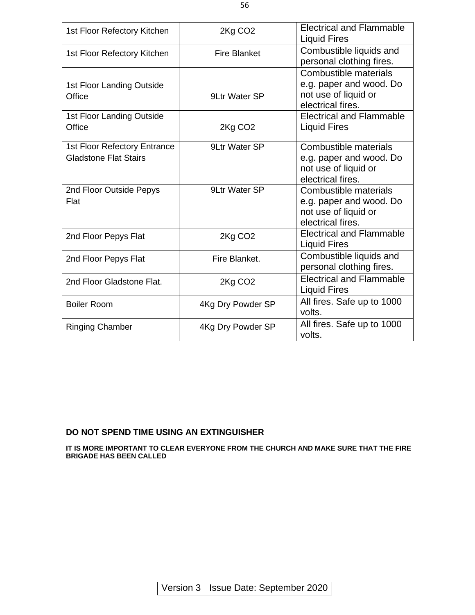| 1st Floor Refectory Kitchen                                  | 2Kg CO <sub>2</sub> | <b>Electrical and Flammable</b><br><b>Liquid Fires</b>                                        |
|--------------------------------------------------------------|---------------------|-----------------------------------------------------------------------------------------------|
| 1st Floor Refectory Kitchen                                  | <b>Fire Blanket</b> | Combustible liquids and<br>personal clothing fires.                                           |
| 1st Floor Landing Outside<br>Office                          | 9Ltr Water SP       | Combustible materials<br>e.g. paper and wood. Do<br>not use of liquid or<br>electrical fires. |
| 1st Floor Landing Outside<br>Office                          | 2Kg CO <sub>2</sub> | <b>Electrical and Flammable</b><br><b>Liquid Fires</b>                                        |
| 1st Floor Refectory Entrance<br><b>Gladstone Flat Stairs</b> | 9Ltr Water SP       | Combustible materials<br>e.g. paper and wood. Do<br>not use of liquid or<br>electrical fires. |
| 2nd Floor Outside Pepys<br>Flat                              | 9Ltr Water SP       | Combustible materials<br>e.g. paper and wood. Do<br>not use of liquid or<br>electrical fires. |
| 2nd Floor Pepys Flat                                         | 2Kg CO <sub>2</sub> | <b>Electrical and Flammable</b><br><b>Liquid Fires</b>                                        |
| 2nd Floor Pepys Flat                                         | Fire Blanket.       | Combustible liquids and<br>personal clothing fires.                                           |
| 2nd Floor Gladstone Flat.                                    | 2Kg CO <sub>2</sub> | <b>Electrical and Flammable</b><br><b>Liquid Fires</b>                                        |
| <b>Boiler Room</b>                                           | 4Kg Dry Powder SP   | All fires. Safe up to 1000<br>volts.                                                          |
| <b>Ringing Chamber</b>                                       | 4Kg Dry Powder SP   | All fires. Safe up to 1000<br>volts.                                                          |

#### **DO NOT SPEND TIME USING AN EXTINGUISHER**

**IT IS MORE IMPORTANT TO CLEAR EVERYONE FROM THE CHURCH AND MAKE SURE THAT THE FIRE BRIGADE HAS BEEN CALLED**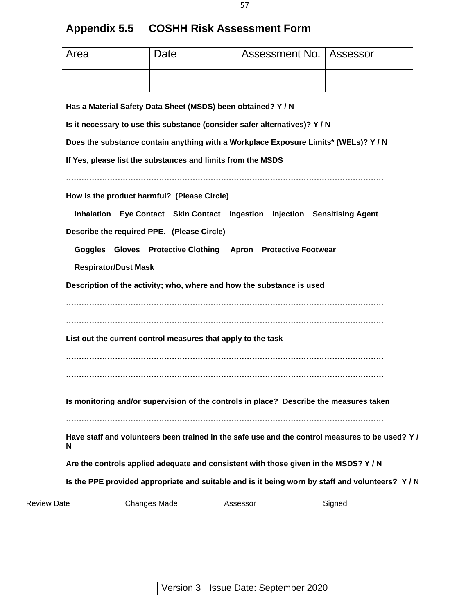| <b>Appendix 5.5</b> | <b>COSHH Risk Assessment Form</b> |
|---------------------|-----------------------------------|
|---------------------|-----------------------------------|

| Area                                                                              | Date | Assessment No.   Assessor |  |  |
|-----------------------------------------------------------------------------------|------|---------------------------|--|--|
|                                                                                   |      |                           |  |  |
| Has a Material Safety Data Sheet (MSDS) been obtained? Y/N                        |      |                           |  |  |
| Is it necessary to use this substance (consider safer alternatives)? Y/N          |      |                           |  |  |
| Does the substance contain anything with a Workplace Exposure Limits* (WELs)? Y/N |      |                           |  |  |
| If Yes, please list the substances and limits from the MSDS                       |      |                           |  |  |
|                                                                                   |      |                           |  |  |
| How is the product harmful? (Please Circle)                                       |      |                           |  |  |

 **Inhalation Eye Contact Skin Contact Ingestion Injection Sensitising Agent** 

**Describe the required PPE. (Please Circle)** 

 **Goggles Gloves Protective Clothing Apron Protective Footwear** 

 **Respirator/Dust Mask** 

**Description of the activity; who, where and how the substance is used** 

**……………………………………………………………………………………………………………** 

**……………………………………………………………………………………………………………** 

**List out the current control measures that apply to the task** 

**……………………………………………………………………………………………………………** 

**……………………………………………………………………………………………………………** 

**Is monitoring and/or supervision of the controls in place? Describe the measures taken** 

**……………………………………………………………………………………………………………** 

**Have staff and volunteers been trained in the safe use and the control measures to be used? Y / N** 

**Are the controls applied adequate and consistent with those given in the MSDS? Y / N** 

**Is the PPE provided appropriate and suitable and is it being worn by staff and volunteers? Y / N** 

| <b>Review Date</b> | Changes Made | Assessor | Signed |
|--------------------|--------------|----------|--------|
|                    |              |          |        |
|                    |              |          |        |
|                    |              |          |        |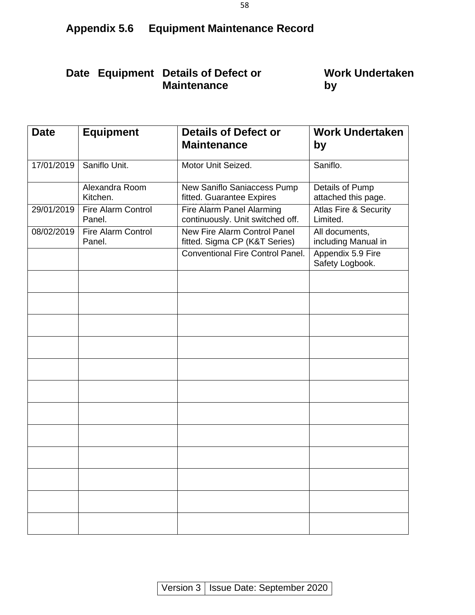# **Appendix 5.6 Equipment Maintenance Record**

# **Date Equipment Details of Defect or Maintenance**

# **Work Undertaken by**

| <b>Date</b> | <b>Equipment</b>                    | <b>Details of Defect or</b><br><b>Maintenance</b>                    | <b>Work Undertaken</b><br>by                 |
|-------------|-------------------------------------|----------------------------------------------------------------------|----------------------------------------------|
| 17/01/2019  | Saniflo Unit.                       | Motor Unit Seized.                                                   | Saniflo.                                     |
|             | Alexandra Room<br>Kitchen.          | New Saniflo Saniaccess Pump<br>fitted. Guarantee Expires             | Details of Pump<br>attached this page.       |
| 29/01/2019  | <b>Fire Alarm Control</b><br>Panel. | Fire Alarm Panel Alarming<br>continuously. Unit switched off.        | <b>Atlas Fire &amp; Security</b><br>Limited. |
| 08/02/2019  | <b>Fire Alarm Control</b><br>Panel. | <b>New Fire Alarm Control Panel</b><br>fitted. Sigma CP (K&T Series) | All documents,<br>including Manual in        |
|             |                                     | <b>Conventional Fire Control Panel.</b>                              | Appendix 5.9 Fire<br>Safety Logbook.         |
|             |                                     |                                                                      |                                              |
|             |                                     |                                                                      |                                              |
|             |                                     |                                                                      |                                              |
|             |                                     |                                                                      |                                              |
|             |                                     |                                                                      |                                              |
|             |                                     |                                                                      |                                              |
|             |                                     |                                                                      |                                              |
|             |                                     |                                                                      |                                              |
|             |                                     |                                                                      |                                              |
|             |                                     |                                                                      |                                              |
|             |                                     |                                                                      |                                              |
|             |                                     |                                                                      |                                              |

Version 3 | Issue Date: September 2020

58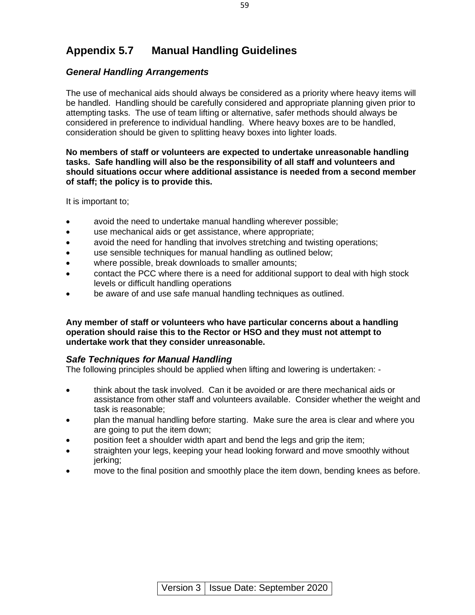# **Appendix 5.7 Manual Handling Guidelines**

#### *General Handling Arrangements*

The use of mechanical aids should always be considered as a priority where heavy items will be handled. Handling should be carefully considered and appropriate planning given prior to attempting tasks. The use of team lifting or alternative, safer methods should always be considered in preference to individual handling. Where heavy boxes are to be handled, consideration should be given to splitting heavy boxes into lighter loads.

#### **No members of staff or volunteers are expected to undertake unreasonable handling tasks. Safe handling will also be the responsibility of all staff and volunteers and should situations occur where additional assistance is needed from a second member of staff; the policy is to provide this.**

It is important to;

- avoid the need to undertake manual handling wherever possible;
- use mechanical aids or get assistance, where appropriate;
- avoid the need for handling that involves stretching and twisting operations;
- use sensible techniques for manual handling as outlined below;
- where possible, break downloads to smaller amounts;
- contact the PCC where there is a need for additional support to deal with high stock levels or difficult handling operations
- be aware of and use safe manual handling techniques as outlined.

#### **Any member of staff or volunteers who have particular concerns about a handling operation should raise this to the Rector or HSO and they must not attempt to undertake work that they consider unreasonable.**

#### *Safe Techniques for Manual Handling*

The following principles should be applied when lifting and lowering is undertaken: -

- think about the task involved. Can it be avoided or are there mechanical aids or assistance from other staff and volunteers available. Consider whether the weight and task is reasonable;
- plan the manual handling before starting. Make sure the area is clear and where you are going to put the item down;
- position feet a shoulder width apart and bend the legs and grip the item;
- straighten your legs, keeping your head looking forward and move smoothly without jerking;
- move to the final position and smoothly place the item down, bending knees as before.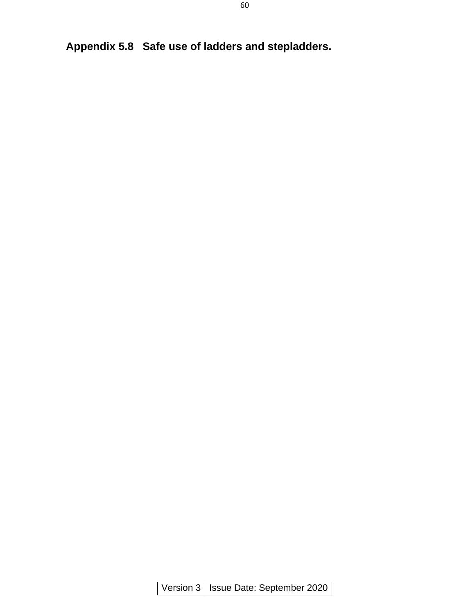**Appendix 5.8 Safe use of ladders and stepladders.**

Version 3 | Issue Date: September 2020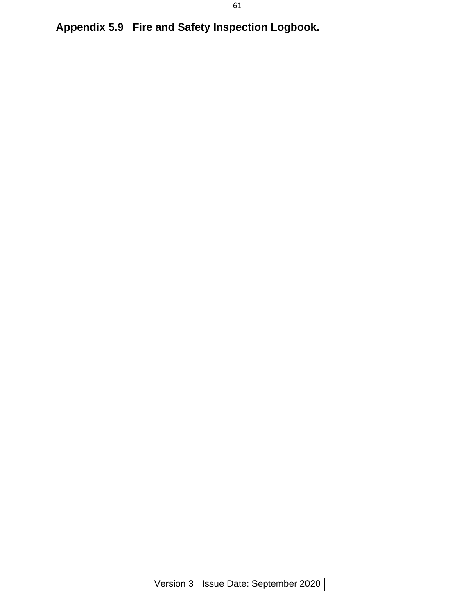**Appendix 5.9 Fire and Safety Inspection Logbook.**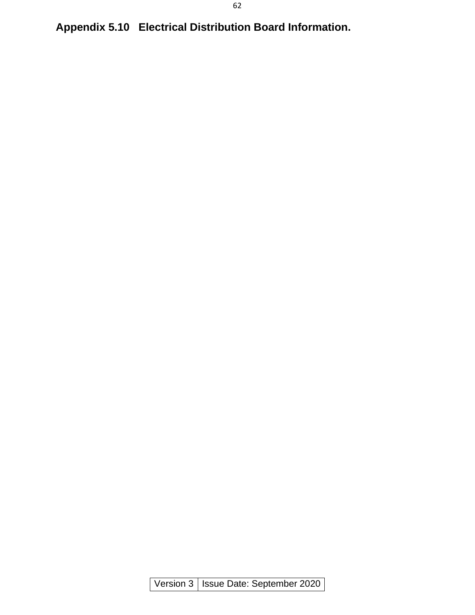**Appendix 5.10 Electrical Distribution Board Information.**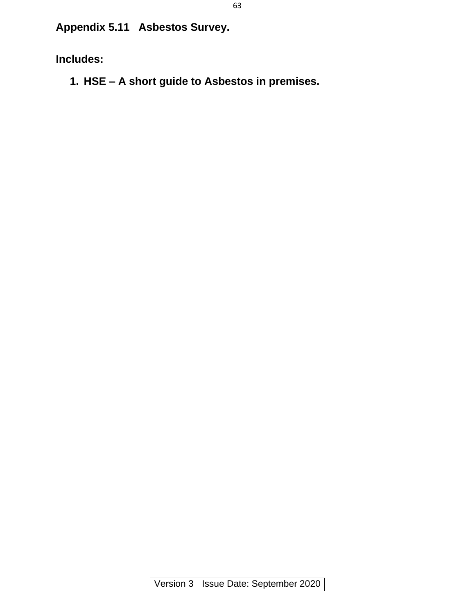**Appendix 5.11 Asbestos Survey.**

**Includes:**

**1. HSE – A short guide to Asbestos in premises.**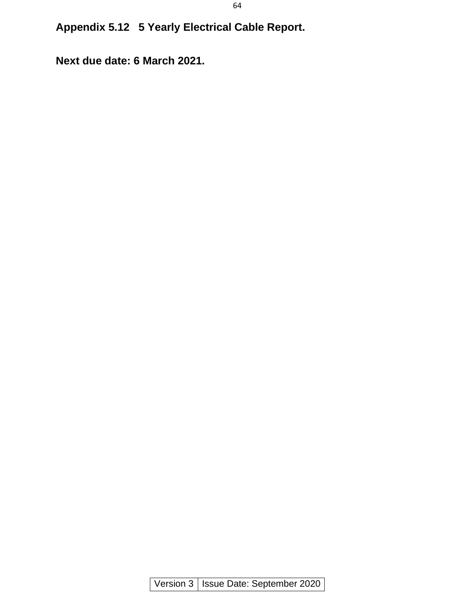**Appendix 5.12 5 Yearly Electrical Cable Report.**

**Next due date: 6 March 2021.**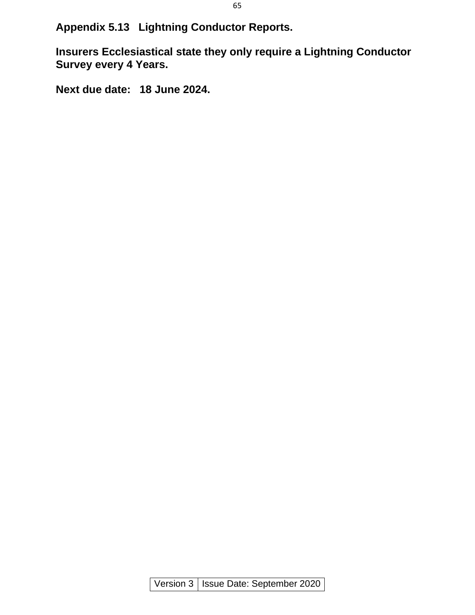**Appendix 5.13 Lightning Conductor Reports.**

**Insurers Ecclesiastical state they only require a Lightning Conductor Survey every 4 Years.**

**Next due date: 18 June 2024.**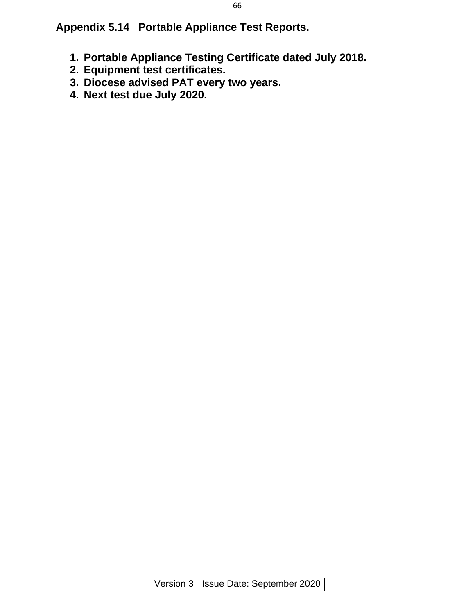**Appendix 5.14 Portable Appliance Test Reports.**

- **1. Portable Appliance Testing Certificate dated July 2018.**
- **2. Equipment test certificates.**
- **3. Diocese advised PAT every two years.**
- **4. Next test due July 2020.**